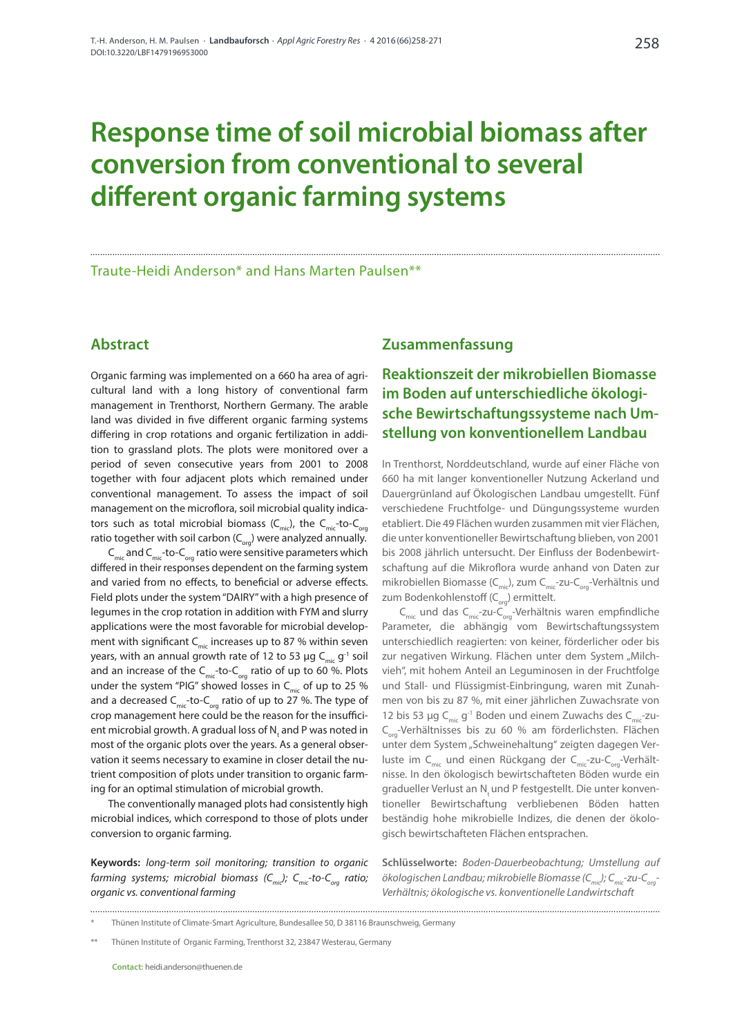# **Response time of soil microbial biomass after conversion from conventional to several different organic farming systems**

Traute-Heidi Anderson\* and Hans Marten Paulsen\*\*

## **Abstract**

Organic farming was implemented on a 660 ha area of agricultural land with a long history of conventional farm management in Trenthorst, Northern Germany. The arable land was divided in five different organic farming systems differing in crop rotations and organic fertilization in addition to grassland plots. The plots were monitored over a period of seven consecutive years from 2001 to 2008 together with four adjacent plots which remained under conventional management. To assess the impact of soil management on the microflora, soil microbial quality indicators such as total microbial biomass  $(C_{\text{mic}})$ , the  $C_{\text{mic}}$ -to- $C_{\text{corr}}$ ratio together with soil carbon  $(C_{\text{org}})$  were analyzed annually.  $C_{\text{mic}}$  and  $C_{\text{mic}}$ -to- $C_{\text{ora}}$  ratio were sensitive parameters which differed in their responses dependent on the farming system and varied from no effects, to beneficial or adverse effects. Field plots under the system "DAIRY" with a high presence of legumes in the crop rotation in addition with FYM and slurry applications were the most favorable for microbial development with significant  $C_{\text{min}}$  increases up to 87 % within seven years, with an annual growth rate of 12 to 53 µg C<sub>mic</sub> g<sup>-1</sup> soil and an increase of the  $C_{\text{mic}}$ -to- $C_{\text{ora}}$  ratio of up to 60 %. Plots under the system "PIG" showed losses in  $C_{\text{mic}}$  of up to 25 % and a decreased  $C_{\text{mic}}$ -to- $C_{\text{org}}$  ratio of up to 27 %. The type of crop management here could be the reason for the insufficient microbial growth. A gradual loss of  $\mathsf{N}_\mathsf{t}$  and P was noted in most of the organic plots over the years. As a general observation it seems necessary to examine in closer detail the nutrient composition of plots under transition to organic farming for an optimal stimulation of microbial growth.

The conventionally managed plots had consistently high microbial indices, which correspond to those of plots under conversion to organic farming.

**Keywords:** *long-term soil monitoring; transition to organic farming systems; microbial biomass (C<sub>mic</sub>); C<sub>mic</sub>-to-C<sub>org</sub> ratio; organic vs. conventional farming*

## **Zusammenfassung**

# **Reaktionszeit der mikrobiellen Biomasse im Boden auf unterschiedliche ökologische Bewirtschaftungssysteme nach Umstellung von konventionellem Landbau**

In Trenthorst, Norddeutschland, wurde auf einer Fläche von 660 ha mit langer konventioneller Nutzung Ackerland und Dauergrünland auf Ökologischen Landbau umgestellt. Fünf verschiedene Fruchtfolge- und Düngungssysteme wurden etabliert. Die 49 Flächen wurden zusammen mit vier Flächen, die unter konventioneller Bewirtschaftung blieben, von 2001 bis 2008 jährlich untersucht. Der Einfluss der Bodenbewirtschaftung auf die Mikroflora wurde anhand von Daten zur mikrobiellen Biomasse ( $C_{\text{mic}}$ ), zum  $C_{\text{mic}}$ -zu- $C_{\text{ora}}$ -Verhältnis und zum Bodenkohlenstoff ( $C_{\text{odd}}$ ) ermittelt.

 $C_{\text{mic}}$  und das  $C_{\text{mic}}$ -zu- $C_{\text{core}}$ -Verhältnis waren empfindliche Parameter, die abhängig vom Bewirtschaftungssystem unterschiedlich reagierten: von keiner, förderlicher oder bis zur negativen Wirkung. Flächen unter dem System "Milchvieh", mit hohem Anteil an Leguminosen in der Fruchtfolge und Stall- und Flüssigmist-Einbringung, waren mit Zunahmen von bis zu 87 %, mit einer jährlichen Zuwachsrate von 12 bis 53 µg  $C_{\text{min}}$  g<sup>-1</sup> Boden und einem Zuwachs des  $C_{\text{min}}$ -zu-C<sub>org</sub>-Verhältnisses bis zu 60 % am förderlichsten. Flächen unter dem System "Schweinehaltung" zeigten dagegen Verluste im C<sub>mic</sub> und einen Rückgang der C<sub>mic</sub>-zu-C<sub>org</sub>-Verhältnisse. In den ökologisch bewirtschafteten Böden wurde ein gradueller Verlust an Nund P festgestellt. Die unter konventioneller Bewirtschaftung verbliebenen Böden hatten beständig hohe mikrobielle Indizes, die denen der ökologisch bewirtschafteten Flächen entsprachen.

**Schlüsselworte:** *Boden-Dauerbeobachtung; Umstellung auf ökologischen Landbau; mikrobielle Biomasse (Cmic); Cmic-zu-Corg-Verhältnis; ökologische vs. k*o*nventionelle Landwirtschaft*

<sup>\*</sup> Thünen Institute of Climate-Smart Agriculture, Bundesallee 50, D 38116 Braunschweig, Germany

<sup>\*\*</sup> Thünen Institute of Organic Farming, Trenthorst 32, 23847 Westerau, Germany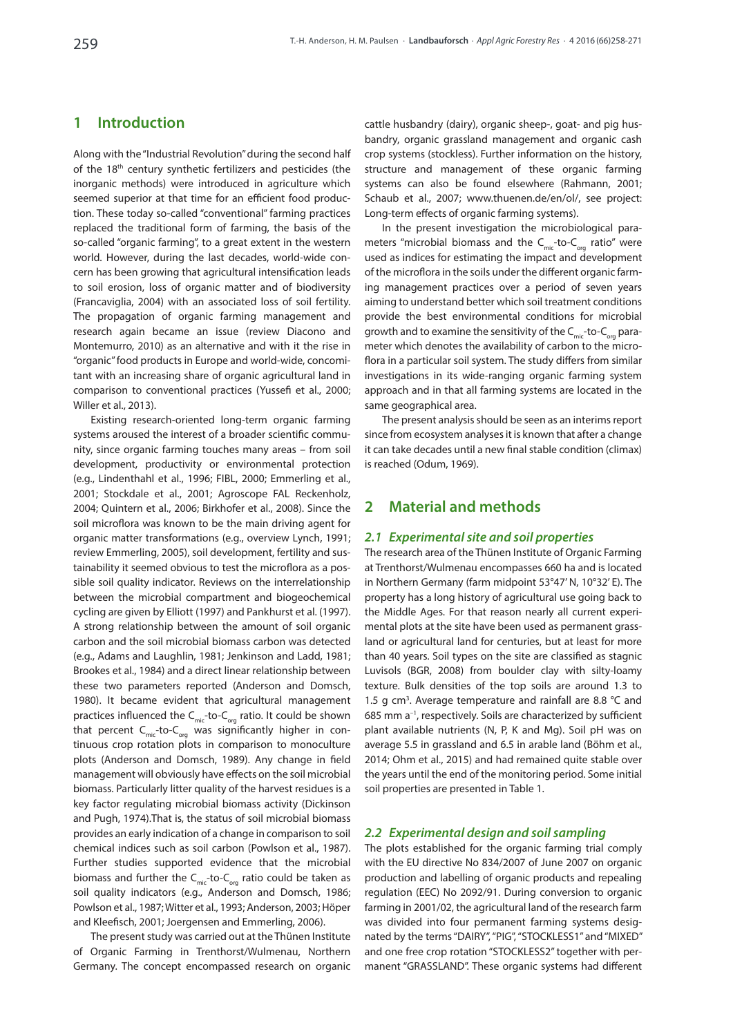# **1 Introduction**

Along with the "Industrial Revolution" during the second half of the 18<sup>th</sup> century synthetic fertilizers and pesticides (the inorganic methods) were introduced in agriculture which seemed superior at that time for an efficient food production. These today so-called "conventional" farming practices replaced the traditional form of farming, the basis of the so-called "organic farming", to a great extent in the western world. However, during the last decades, world-wide concern has been growing that agricultural intensification leads to soil erosion, loss of organic matter and of biodiversity (Francaviglia, 2004) with an associated loss of soil fertility. The propagation of organic farming management and research again became an issue (review Diacono and Montemurro, 2010) as an alternative and with it the rise in "organic" food products in Europe and world-wide, concomitant with an increasing share of organic agricultural land in comparison to conventional practices (Yussefi et al., 2000; Willer et al., 2013).

Existing research-oriented long-term organic farming systems aroused the interest of a broader scientific community, since organic farming touches many areas – from soil development, productivity or environmental protection (e.g., Lindenthahl et al., 1996; FIBL, 2000; Emmerling et al., 2001; Stockdale et al., 2001; Agroscope FAL Reckenholz, 2004; Quintern et al., 2006; Birkhofer et al., 2008). Since the soil microflora was known to be the main driving agent for organic matter transformations (e.g., overview Lynch, 1991; review Emmerling, 2005), soil development, fertility and sustainability it seemed obvious to test the microflora as a possible soil quality indicator. Reviews on the interrelationship between the microbial compartment and biogeochemical cycling are given by Elliott (1997) and Pankhurst et al. (1997). A strong relationship between the amount of soil organic carbon and the soil microbial biomass carbon was detected (e.g., Adams and Laughlin, 1981; Jenkinson and Ladd, 1981; Brookes et al., 1984) and a direct linear relationship between these two parameters reported (Anderson and Domsch, 1980). It became evident that agricultural management practices influenced the  $C_{\text{mic}}$ -to- $C_{\text{org}}$  ratio. It could be shown that percent  $C<sub>mic</sub>$ -to- $C<sub>ora</sub>$  was significantly higher in continuous crop rotation plots in comparison to monoculture plots (Anderson and Domsch, 1989). Any change in field management will obviously have effects on the soil microbial biomass. Particularly litter quality of the harvest residues is a key factor regulating microbial biomass activity (Dickinson and Pugh, 1974).That is, the status of soil microbial biomass provides an early indication of a change in comparison to soil chemical indices such as soil carbon (Powlson et al., 1987). Further studies supported evidence that the microbial biomass and further the  $C_{\text{mic}}$ -to- $C_{\text{ora}}$  ratio could be taken as soil quality indicators (e.g., Anderson and Domsch, 1986; Powlson et al., 1987; Witter et al., 1993; Anderson, 2003; Höper and Kleefisch, 2001; Joergensen and Emmerling, 2006).

The present study was carried out at the Thünen Institute of Organic Farming in Trenthorst/Wulmenau, Northern Germany. The concept encompassed research on organic cattle husbandry (dairy), organic sheep-, goat- and pig husbandry, organic grassland management and organic cash crop systems (stockless). Further information on the history, structure and management of these organic farming systems can also be found elsewhere (Rahmann, 2001; Schaub et al., 2007; [www.thuenen.de/en/ol/,](http://www.thuenen.de/en/ol/) see project: Long-term effects of organic farming systems).

In the present investigation the microbiological parameters "microbial biomass and the  $C_{\text{mic}}$ -to- $C_{\text{ora}}$  ratio" were used as indices for estimating the impact and development of the microflora in the soils under the different organic farming management practices over a period of seven years aiming to understand better which soil treatment conditions provide the best environmental conditions for microbial qrowth and to examine the sensitivity of the  $C_{\text{mic}}$ -to- $C_{\text{ora}}$  parameter which denotes the availability of carbon to the microflora in a particular soil system. The study differs from similar investigations in its wide-ranging organic farming system approach and in that all farming systems are located in the same geographical area.

The present analysis should be seen as an interims report since from ecosystem analyses it is known that after a change it can take decades until a new final stable condition (climax) is reached (Odum, 1969).

## **2 Material and methods**

## *2.1 Experimental site and soil properties*

The research area of the Thünen Institute of Organic Farming at Trenthorst/Wulmenau encompasses 660 ha and is located in Northern Germany (farm midpoint 53°47' N, 10°32' E). The property has a long history of agricultural use going back to the Middle Ages. For that reason nearly all current experimental plots at the site have been used as permanent grassland or agricultural land for centuries, but at least for more than 40 years. Soil types on the site are classified as stagnic Luvisols (BGR, 2008) from boulder clay with silty-loamy texture. Bulk densities of the top soils are around 1.3 to 1.5 g  $cm<sup>3</sup>$ . Average temperature and rainfall are 8.8 °C and 685 mm a–1, respectively. Soils are characterized by sufficient plant available nutrients (N, P, K and Mg). Soil pH was on average 5.5 in grassland and 6.5 in arable land (Böhm et al., 2014; Ohm et al., 2015) and had remained quite stable over the years until the end of the monitoring period. Some initial soil properties are presented in Table 1.

## *2.2 Experimental design and soil sampling*

The plots established for the organic farming trial comply with the EU directive No 834/2007 of June 2007 on organic production and labelling of organic products and repealing regulation (EEC) No 2092/91. During conversion to organic farming in 2001/02, the agricultural land of the research farm was divided into four permanent farming systems designated by the terms "DAIRY", "PIG", "STOCKLESS1" and "MIXED" and one free crop rotation "STOCKLESS2" together with permanent "GRASSLAND". These organic systems had different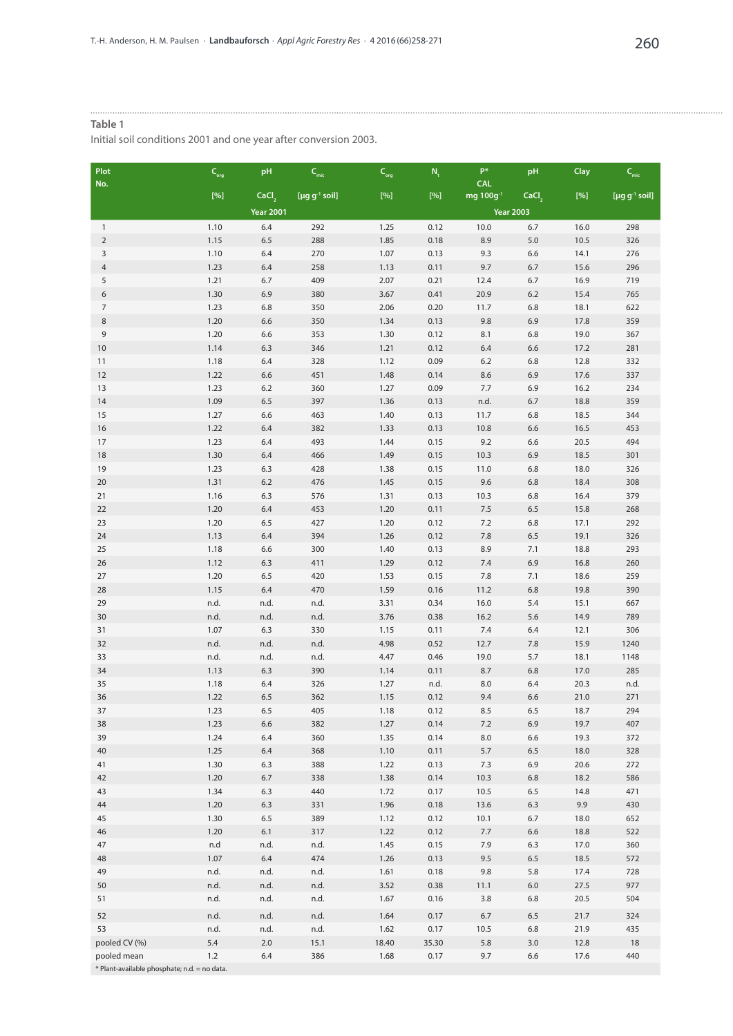#### **Table 1**

Initial soil conditions 2001 and one year after conversion 2003.

| <b>Plot</b><br>No.                           | $\mathsf{C}_{\mathsf{org}}$                                                                                                                                                                                                                                                                                                                                                                                                                                                                                                                         | pH                | $\mathsf{C}_{_{\sf mic}}$ | $\mathsf{C}_{\mathsf{org}}$ | $N_{t}$      | $\mathsf{P}^*$<br><b>CAL</b> | pH                | Clay         | $\mathsf{C}_{_{\sf mic}}$       |
|----------------------------------------------|-----------------------------------------------------------------------------------------------------------------------------------------------------------------------------------------------------------------------------------------------------------------------------------------------------------------------------------------------------------------------------------------------------------------------------------------------------------------------------------------------------------------------------------------------------|-------------------|---------------------------|-----------------------------|--------------|------------------------------|-------------------|--------------|---------------------------------|
|                                              | $[%] \centering \subfloat[\centering]{{\includegraphics[width=0.25\textwidth]{figs/fig100000.pdf} }}% \subfloat[\centering]{{\includegraphics[width=0.25\textwidth]{figs/fig100000.pdf} }}% \subfloat[\centering]{{\includegraphics[width=0.25\textwidth]{figs/fig100000.pdf} }}% \subfloat[\centering]{{\includegraphics[width=0.25\textwidth]{figs/fig10000.pdf} }}% \subfloat[\centering]{{\includegraphics[width=0.25\textwidth]{figs/fig10000.pdf} }}% \subfloat[\centering]{{\includegraphics[width=0.25\textwidth]{figs/fig10000.pdf} }}% \$ | CaCl <sub>,</sub> | [µg $g^{-1}$ soil]        | $[\%]$                      | $[%]$        | mg 100g <sup>-1</sup>        | CaCl <sub>2</sub> | $[%]$        | [ $\mu$ g g <sup>-1</sup> soil] |
|                                              |                                                                                                                                                                                                                                                                                                                                                                                                                                                                                                                                                     | <b>Year 2001</b>  |                           |                             |              |                              | <b>Year 2003</b>  |              |                                 |
| $\mathbf{1}$                                 | 1.10                                                                                                                                                                                                                                                                                                                                                                                                                                                                                                                                                | 6.4               | 292                       | 1.25                        | 0.12         | 10.0                         | 6.7               | 16.0         | 298                             |
| $\overline{2}$                               | 1.15                                                                                                                                                                                                                                                                                                                                                                                                                                                                                                                                                | 6.5               | 288                       | 1.85                        | 0.18         | 8.9                          | $5.0$             | 10.5         | 326                             |
| 3                                            | 1.10                                                                                                                                                                                                                                                                                                                                                                                                                                                                                                                                                | 6.4               | 270                       | 1.07                        | 0.13         | 9.3                          | 6.6               | 14.1         | 276                             |
| $\overline{4}$                               | 1.23                                                                                                                                                                                                                                                                                                                                                                                                                                                                                                                                                | 6.4               | 258                       | 1.13                        | 0.11         | 9.7                          | 6.7               | 15.6         | 296                             |
| 5                                            | 1.21                                                                                                                                                                                                                                                                                                                                                                                                                                                                                                                                                | 6.7               | 409                       | 2.07                        | 0.21         | 12.4                         | 6.7               | 16.9         | 719                             |
| 6                                            | 1.30                                                                                                                                                                                                                                                                                                                                                                                                                                                                                                                                                | 6.9               | 380                       | 3.67                        | 0.41         | 20.9                         | 6.2               | 15.4         | 765                             |
| $\overline{7}$                               | 1.23                                                                                                                                                                                                                                                                                                                                                                                                                                                                                                                                                | 6.8               | 350                       | 2.06                        | 0.20         | 11.7                         | 6.8               | 18.1         | 622                             |
| $\,8\,$                                      | 1.20                                                                                                                                                                                                                                                                                                                                                                                                                                                                                                                                                | 6.6               | 350                       | 1.34                        | 0.13         | 9.8                          | 6.9               | 17.8         | 359                             |
| 9<br>10                                      | 1.20<br>1.14                                                                                                                                                                                                                                                                                                                                                                                                                                                                                                                                        | 6.6<br>6.3        | 353<br>346                | 1.30<br>1.21                | 0.12<br>0.12 | 8.1<br>6.4                   | 6.8<br>6.6        | 19.0<br>17.2 | 367<br>281                      |
| 11                                           | 1.18                                                                                                                                                                                                                                                                                                                                                                                                                                                                                                                                                | 6.4               | 328                       | 1.12                        | 0.09         | $6.2\,$                      | 6.8               | 12.8         | 332                             |
| 12                                           | 1.22                                                                                                                                                                                                                                                                                                                                                                                                                                                                                                                                                | 6.6               | 451                       | 1.48                        | 0.14         | 8.6                          | 6.9               | 17.6         | 337                             |
| 13                                           | 1.23                                                                                                                                                                                                                                                                                                                                                                                                                                                                                                                                                | 6.2               | 360                       | 1.27                        | 0.09         | 7.7                          | 6.9               | 16.2         | 234                             |
| 14                                           | 1.09                                                                                                                                                                                                                                                                                                                                                                                                                                                                                                                                                | 6.5               | 397                       | 1.36                        | 0.13         | n.d.                         | 6.7               | 18.8         | 359                             |
| 15                                           | 1.27                                                                                                                                                                                                                                                                                                                                                                                                                                                                                                                                                | 6.6               | 463                       | 1.40                        | 0.13         | 11.7                         | 6.8               | 18.5         | 344                             |
| 16                                           | 1.22                                                                                                                                                                                                                                                                                                                                                                                                                                                                                                                                                | 6.4               | 382                       | 1.33                        | 0.13         | 10.8                         | 6.6               | 16.5         | 453                             |
| 17                                           | 1.23                                                                                                                                                                                                                                                                                                                                                                                                                                                                                                                                                | 6.4               | 493                       | 1.44                        | 0.15         | 9.2                          | 6.6               | 20.5         | 494                             |
| 18                                           | 1.30                                                                                                                                                                                                                                                                                                                                                                                                                                                                                                                                                | 6.4               | 466                       | 1.49                        | 0.15         | 10.3                         | 6.9               | 18.5         | 301                             |
| 19                                           | 1.23                                                                                                                                                                                                                                                                                                                                                                                                                                                                                                                                                | 6.3               | 428                       | 1.38                        | 0.15         | 11.0                         | 6.8               | 18.0         | 326                             |
| 20                                           | 1.31                                                                                                                                                                                                                                                                                                                                                                                                                                                                                                                                                | 6.2               | 476                       | 1.45                        | 0.15         | 9.6                          | 6.8               | 18.4         | 308                             |
| 21                                           | 1.16                                                                                                                                                                                                                                                                                                                                                                                                                                                                                                                                                | 6.3               | 576                       | 1.31                        | 0.13         | 10.3                         | 6.8               | 16.4         | 379                             |
| 22                                           | 1.20                                                                                                                                                                                                                                                                                                                                                                                                                                                                                                                                                | 6.4               | 453                       | 1.20                        | 0.11         | $7.5$                        | 6.5               | 15.8         | 268                             |
| 23                                           | 1.20                                                                                                                                                                                                                                                                                                                                                                                                                                                                                                                                                | 6.5               | 427                       | 1.20                        | 0.12         | $7.2\,$                      | 6.8               | 17.1         | 292                             |
| 24                                           | 1.13                                                                                                                                                                                                                                                                                                                                                                                                                                                                                                                                                | 6.4               | 394                       | 1.26                        | 0.12         | 7.8                          | 6.5               | 19.1         | 326                             |
| 25                                           | 1.18<br>1.12                                                                                                                                                                                                                                                                                                                                                                                                                                                                                                                                        | 6.6               | 300                       | 1.40                        | 0.13<br>0.12 | 8.9                          | 7.1               | 18.8         | 293<br>260                      |
| 26<br>27                                     | 1.20                                                                                                                                                                                                                                                                                                                                                                                                                                                                                                                                                | 6.3<br>6.5        | 411<br>420                | 1.29<br>1.53                | 0.15         | 7.4<br>7.8                   | 6.9<br>7.1        | 16.8<br>18.6 | 259                             |
| 28                                           | 1.15                                                                                                                                                                                                                                                                                                                                                                                                                                                                                                                                                | 6.4               | 470                       | 1.59                        | 0.16         | 11.2                         | 6.8               | 19.8         | 390                             |
| 29                                           | n.d.                                                                                                                                                                                                                                                                                                                                                                                                                                                                                                                                                | n.d.              | n.d.                      | 3.31                        | 0.34         | 16.0                         | 5.4               | 15.1         | 667                             |
| 30                                           | n.d.                                                                                                                                                                                                                                                                                                                                                                                                                                                                                                                                                | n.d.              | n.d.                      | 3.76                        | 0.38         | 16.2                         | 5.6               | 14.9         | 789                             |
| 31                                           | 1.07                                                                                                                                                                                                                                                                                                                                                                                                                                                                                                                                                | 6.3               | 330                       | 1.15                        | 0.11         | 7.4                          | 6.4               | 12.1         | 306                             |
| 32                                           | n.d.                                                                                                                                                                                                                                                                                                                                                                                                                                                                                                                                                | n.d.              | n.d.                      | 4.98                        | 0.52         | 12.7                         | 7.8               | 15.9         | 1240                            |
| 33                                           | n.d.                                                                                                                                                                                                                                                                                                                                                                                                                                                                                                                                                | n.d.              | n.d.                      | 4.47                        | 0.46         | 19.0                         | 5.7               | 18.1         | 1148                            |
| 34                                           | 1.13                                                                                                                                                                                                                                                                                                                                                                                                                                                                                                                                                | 6.3               | 390                       | 1.14                        | 0.11         | 8.7                          | 6.8               | 17.0         | 285                             |
| 35                                           | 1.18                                                                                                                                                                                                                                                                                                                                                                                                                                                                                                                                                | 6.4               | 326                       | 1.27                        | n.d.         | 8.0                          | 6.4               | 20.3         | n.d.                            |
| 36                                           | 1.22                                                                                                                                                                                                                                                                                                                                                                                                                                                                                                                                                | 6.5               | 362                       | 1.15                        | 0.12         | 9.4                          | 6.6               | 21.0         | 271                             |
| 37                                           | 1.23                                                                                                                                                                                                                                                                                                                                                                                                                                                                                                                                                | 6.5               | 405                       | 1.18                        | 0.12         | 8.5                          | 6.5               | 18.7         | 294                             |
| 38                                           | 1.23                                                                                                                                                                                                                                                                                                                                                                                                                                                                                                                                                | 6.6               | 382                       | 1.27                        | 0.14         | 7.2                          | 6.9               | 19.7         | 407                             |
| 39                                           | 1.24                                                                                                                                                                                                                                                                                                                                                                                                                                                                                                                                                | 6.4               | 360                       | 1.35                        | 0.14         | 8.0                          | 6.6               | 19.3         | 372                             |
| 40                                           | 1.25                                                                                                                                                                                                                                                                                                                                                                                                                                                                                                                                                | 6.4               | 368                       | 1.10                        | 0.11         | 5.7                          | 6.5               | 18.0         | 328                             |
| 41                                           | 1.30                                                                                                                                                                                                                                                                                                                                                                                                                                                                                                                                                | 6.3               | 388                       | 1.22                        | 0.13         | 7.3                          | 6.9               | 20.6         | 272                             |
| 42<br>43                                     | 1.20<br>1.34                                                                                                                                                                                                                                                                                                                                                                                                                                                                                                                                        | 6.7<br>6.3        | 338<br>440                | 1.38<br>1.72                | 0.14<br>0.17 | 10.3<br>10.5                 | 6.8<br>6.5        | 18.2<br>14.8 | 586<br>471                      |
| 44                                           | 1.20                                                                                                                                                                                                                                                                                                                                                                                                                                                                                                                                                | 6.3               | 331                       | 1.96                        | 0.18         | 13.6                         | 6.3               | 9.9          | 430                             |
| 45                                           | 1.30                                                                                                                                                                                                                                                                                                                                                                                                                                                                                                                                                | 6.5               | 389                       | 1.12                        | 0.12         | 10.1                         | 6.7               | 18.0         | 652                             |
| 46                                           | 1.20                                                                                                                                                                                                                                                                                                                                                                                                                                                                                                                                                | 6.1               | 317                       | 1.22                        | 0.12         | 7.7                          | 6.6               | 18.8         | 522                             |
| 47                                           | n.d                                                                                                                                                                                                                                                                                                                                                                                                                                                                                                                                                 | n.d.              | n.d.                      | 1.45                        | 0.15         | 7.9                          | 6.3               | 17.0         | 360                             |
| 48                                           | 1.07                                                                                                                                                                                                                                                                                                                                                                                                                                                                                                                                                | 6.4               | 474                       | 1.26                        | 0.13         | 9.5                          | 6.5               | 18.5         | 572                             |
| 49                                           | n.d.                                                                                                                                                                                                                                                                                                                                                                                                                                                                                                                                                | n.d.              | n.d.                      | 1.61                        | 0.18         | 9.8                          | 5.8               | 17.4         | 728                             |
| 50                                           | n.d.                                                                                                                                                                                                                                                                                                                                                                                                                                                                                                                                                | n.d.              | n.d.                      | 3.52                        | 0.38         | 11.1                         | 6.0               | 27.5         | 977                             |
| 51                                           | n.d.                                                                                                                                                                                                                                                                                                                                                                                                                                                                                                                                                | n.d.              | n.d.                      | 1.67                        | 0.16         | 3.8                          | 6.8               | 20.5         | 504                             |
| 52                                           | n.d.                                                                                                                                                                                                                                                                                                                                                                                                                                                                                                                                                | n.d.              | n.d.                      | 1.64                        | 0.17         | 6.7                          | 6.5               | 21.7         | 324                             |
| 53                                           | n.d.                                                                                                                                                                                                                                                                                                                                                                                                                                                                                                                                                | n.d.              | n.d.                      | 1.62                        | 0.17         | 10.5                         | 6.8               | 21.9         | 435                             |
| pooled CV (%)                                | 5.4                                                                                                                                                                                                                                                                                                                                                                                                                                                                                                                                                 | 2.0               | 15.1                      | 18.40                       | 35.30        | 5.8                          | 3.0               | 12.8         | 18                              |
| pooled mean                                  | 1.2                                                                                                                                                                                                                                                                                                                                                                                                                                                                                                                                                 | 6.4               | 386                       | 1.68                        | 0.17         | 9.7                          | 6.6               | 17.6         | 440                             |
| * Plant-available phosphate; n.d. = no data. |                                                                                                                                                                                                                                                                                                                                                                                                                                                                                                                                                     |                   |                           |                             |              |                              |                   |              |                                 |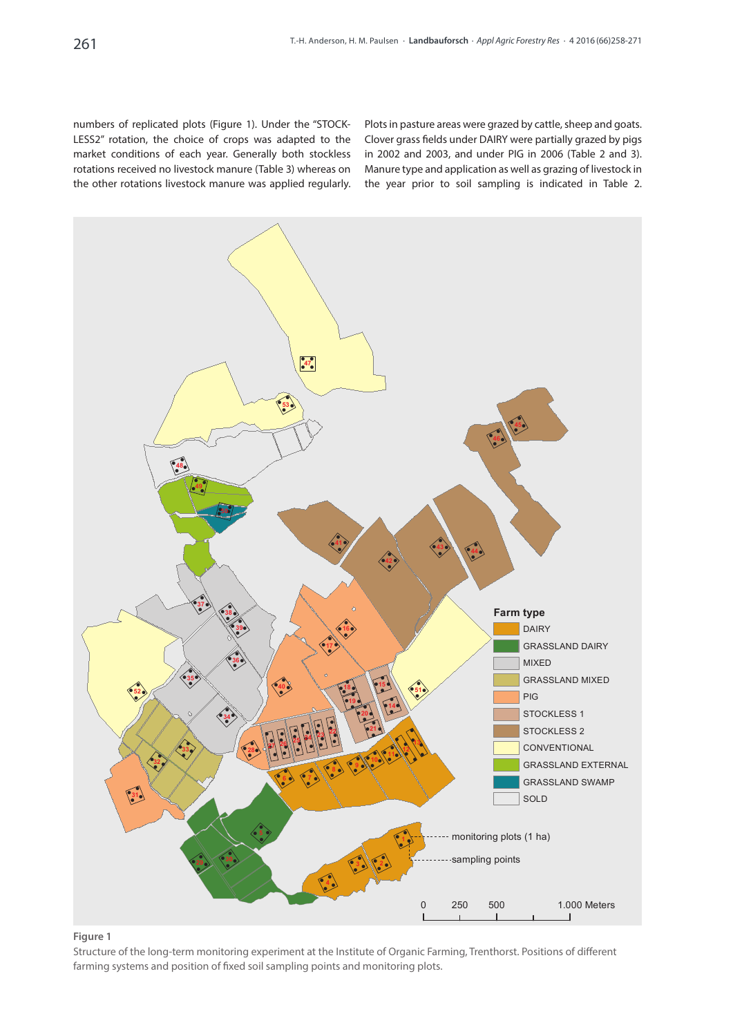numbers of replicated plots (Figure 1). Under the "STOCK-LESS2" rotation, the choice of crops was adapted to the market conditions of each year. Generally both stockless rotations received no livestock manure (Table 3) whereas on the other rotations livestock manure was applied regularly.

Plots in pasture areas were grazed by cattle, sheep and goats. Clover grass fields under DAIRY were partially grazed by pigs in 2002 and 2003, and under PIG in 2006 (Table 2 and 3). Manure type and application as well as grazing of livestock in the year prior to soil sampling is indicated in Table 2.



## **Figure 1**

Structure of the long-term monitoring experiment at the Institute of Organic Farming, Trenthorst. Positions of different farming systems and position of fixed soil sampling points and monitoring plots.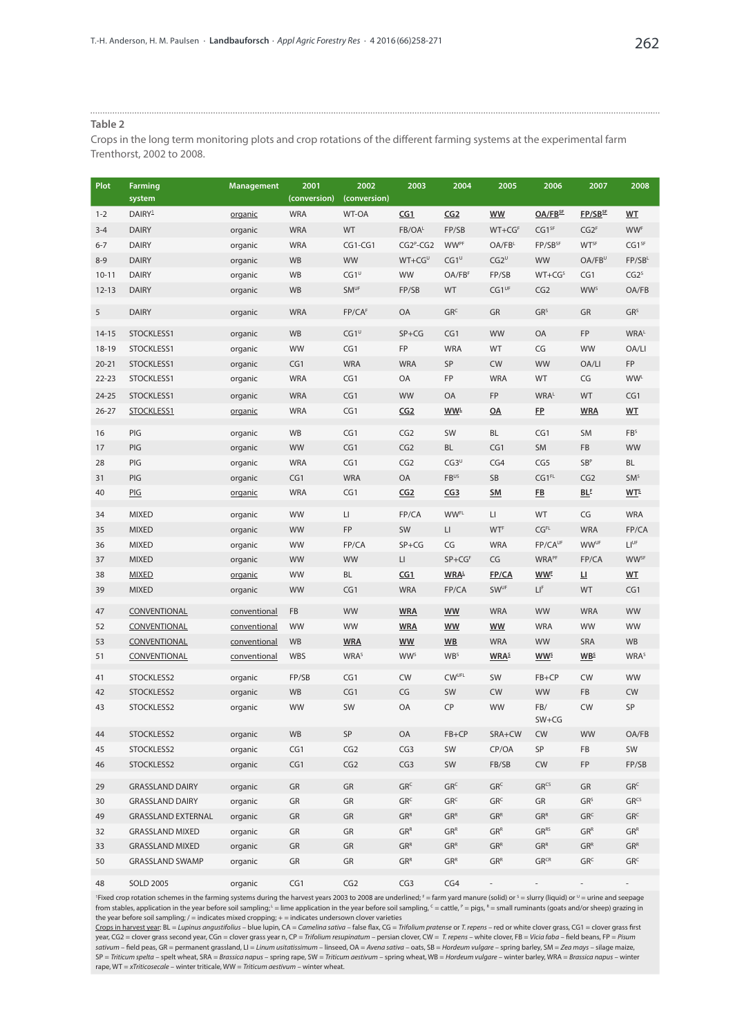#### **Table 2**

Crops in the long term monitoring plots and crop rotations of the different farming systems at the experimental farm Trenthorst, 2002 to 2008.

| Plot      | Farming<br>system         | <b>Management</b> | 2001<br>(conversion) | 2002<br>(conversion)    | 2003                                                   | 2004                   | 2005                     | 2006                  | 2007                   | 2008                    |
|-----------|---------------------------|-------------------|----------------------|-------------------------|--------------------------------------------------------|------------------------|--------------------------|-----------------------|------------------------|-------------------------|
| $1 - 2$   | DAIRY <sup>1</sup>        | organic           | <b>WRA</b>           | <b>WT-OA</b>            | CG1                                                    | CG2                    | <b>WW</b>                | OA/FBSE               | FP/SBSE                | <b>WT</b>               |
| $3 - 4$   | <b>DAIRY</b>              | organic           | <b>WRA</b>           | <b>WT</b>               | FB/OA <sup>L</sup>                                     | FP/SB                  | $WT + CGF$               | CG1 <sup>SF</sup>     | CG2 <sup>F</sup>       | <b>WWF</b>              |
| $6 - 7$   | <b>DAIRY</b>              | organic           | <b>WRA</b>           | $CG1-CG1$               | $CG2p-CG2$                                             | <b>WWPF</b>            | OA/FB <sup>L</sup>       | FP/SB <sup>SF</sup>   | <b>WTSF</b>            | CG1 <sup>SF</sup>       |
| $8 - 9$   | <b>DAIRY</b>              | organic           | <b>WB</b>            | <b>WW</b>               | $WT + CG^U$                                            | $CG1^U$                | $CG2^U$                  | <b>WW</b>             | $OA/FB^U$              | $FP/SB^L$               |
| $10 - 11$ | <b>DAIRY</b>              | organic           | <b>WB</b>            | $CG1^{\text{U}}$        | <b>WW</b>                                              | OA/FBF                 | FP/SB                    | $WT + CGS$            | CG1                    | CG2 <sup>s</sup>        |
| $12 - 13$ | <b>DAIRY</b>              | organic           | <b>WB</b>            | <b>SMUF</b>             | FP/SB                                                  | <b>WT</b>              | CG1 <sup>UF</sup>        | CG2                   | <b>WWS</b>             | OA/FB                   |
| 5         | <b>DAIRY</b>              | organic           | <b>WRA</b>           | FP/CAF                  | OA                                                     | GR <sup>c</sup>        | GR                       | GR <sup>S</sup>       | GR                     | GR <sup>S</sup>         |
| $14 - 15$ | STOCKLESS1                | organic           | <b>WB</b>            | $CG1^U$                 | $SP+CG$                                                | CG1                    | <b>WW</b>                | OA                    | FP                     | <b>WRAL</b>             |
| $18-19$   | STOCKLESS1                | organic           | <b>WW</b>            | CG1                     | FP                                                     | <b>WRA</b>             | <b>WT</b>                | CG                    | WW                     | OA/LI                   |
| $20 - 21$ | STOCKLESS1                | organic           | CG1                  | <b>WRA</b>              | <b>WRA</b>                                             | SP                     | <b>CW</b>                | <b>WW</b>             | OA/LI                  | <b>FP</b>               |
| $22 - 23$ | STOCKLESS1                | organic           | <b>WRA</b>           | CG1                     | OA                                                     | FP                     | <b>WRA</b>               | <b>WT</b>             | CG                     | <b>WWL</b>              |
| $24 - 25$ | STOCKLESS1                | organic           | <b>WRA</b>           | CG1                     | <b>WW</b>                                              | OA                     | FP                       | <b>WRAL</b>           | WT                     | CG1                     |
| $26 - 27$ | STOCKLESS1                | organic           | <b>WRA</b>           | CG1                     | CG2                                                    | WW <sup>L</sup>        | OA                       | <u>FP</u>             | <b>WRA</b>             | <b>WT</b>               |
| 16        | PIG                       | organic           | WB                   | CG1                     | CG2                                                    | SW                     | BL                       | CG1                   | SM                     | FB <sup>S</sup>         |
| 17        | PIG                       | organic           | WW                   | CG1                     | CG2                                                    | <b>BL</b>              | CG1                      | SM                    | FB                     | <b>WW</b>               |
| 28        | PIG                       | organic           | <b>WRA</b>           | CG1                     | CG2                                                    | $CG3^{\text{U}}$       | CG4                      | CG5                   | SB <sup>p</sup>        | <b>BL</b>               |
| 31        | PIG                       | organic           | CG1                  | <b>WRA</b>              | OA                                                     | <b>FBUS</b>            | SB                       | CG1 <sup>FL</sup>     | CG2                    | SM <sup>s</sup>         |
| 40        | PIG                       | organic           | <b>WRA</b>           | CG1                     | CG2                                                    | CG3                    | <b>SM</b>                | <u>FB</u>             | <b>BLE</b>             | MT <sup>5</sup>         |
| 34        | <b>MIXED</b>              | organic           | <b>WW</b>            | LI                      | FP/CA                                                  | <b>WWFL</b>            | LI.                      | <b>WT</b>             | CG                     | <b>WRA</b>              |
| 35        | <b>MIXED</b>              | organic           | <b>WW</b>            | FP                      | SW                                                     | LI.                    | <b>WTF</b>               | CG <sup>FL</sup>      | <b>WRA</b>             | FP/CA                   |
| 36        | <b>MIXED</b>              | organic           | <b>WW</b>            | FP/CA                   | $SP+CG$                                                | CG                     | <b>WRA</b>               | FP/CAUF               | <b>WWUF</b>            | LI <sup>UF</sup>        |
| 37        | <b>MIXED</b>              | organic           | WW                   | <b>WW</b>               | $\mathsf{L}\mathsf{L}$                                 | $SP + CGF$             | CG                       | <b>WRAPF</b>          | FP/CA                  | <b>WWSF</b>             |
| 38        | <b>MIXED</b>              | organic           | <b>WW</b>            | BL                      | CG1                                                    | WRAL                   | FP/CA                    | <b>WWE</b>            | 쁘                      | W <sub>T</sub>          |
| 39        | <b>MIXED</b>              | organic           | WW                   | CG1                     | <b>WRA</b>                                             | FP/CA                  | <b>SWUF</b>              | L۴                    | WT                     | CG1                     |
| 47        | CONVENTIONAL              | conventional      | FB                   | <b>WW</b>               | <b>WRA</b>                                             | <b>WW</b>              | <b>WRA</b>               | <b>WW</b>             | <b>WRA</b>             | <b>WW</b>               |
| 52        | CONVENTIONAL              | conventional      | <b>WW</b>            | <b>WW</b>               | <b>WRA</b>                                             | <b>WW</b>              | <b>WW</b>                | <b>WRA</b>            | WW                     | WW                      |
| 53        | <b>CONVENTIONAL</b>       | conventional      | <b>WB</b>            | <b>WRA</b>              | <b>WW</b>                                              | W <sub>B</sub>         | <b>WRA</b>               | WW                    | SRA                    | <b>WB</b>               |
| 51        | <b>CONVENTIONAL</b>       | conventional      | <b>WBS</b>           | <b>WRA</b> <sup>s</sup> | <b>WW</b> <sup>s</sup>                                 | <b>WB</b> <sup>s</sup> | <b>WRA</b> <sup>\$</sup> | <b>WW<sup>s</sup></b> | <b>WB</b> <sup>S</sup> | <b>WRA</b> <sup>s</sup> |
| 41        | STOCKLESS2                | organic           | FP/SB                | CG1                     | <b>CW</b>                                              | <b>CWUFL</b>           | SW                       | $FB + CP$             | <b>CW</b>              | WW                      |
| 42        | STOCKLESS2                | organic           | <b>WB</b>            | CG1                     | CG                                                     | SW                     | <b>CW</b>                | <b>WW</b>             | FB                     | <b>CW</b>               |
| 43        | STOCKLESS2                | organic           | WW                   | <b>SW</b>               | OA                                                     | CP                     | <b>WW</b>                | FB/<br>$SW+CG$        | <b>CW</b>              | SP                      |
| 44        | STOCKLESS2                | organic           | WB                   | SP                      | OA                                                     | $FB + CP$              | SRA+CW                   | <b>CW</b>             | WW                     | OA/FB                   |
| 45        | STOCKLESS2                | organic           | CG1                  | CG2                     | CG3                                                    | SW                     | CP/OA                    | SP                    | FB                     | SW                      |
| 46        | STOCKLESS2                | organic           | CG1                  | CG2                     | CG3                                                    | SW                     | FB/SB                    | <b>CW</b>             | FP                     | FP/SB                   |
| 29        | <b>GRASSLAND DAIRY</b>    | organic           | GR                   | GR                      | GR <sup>c</sup>                                        | GR <sup>c</sup>        | GR <sup>c</sup>          | GR <sup>cs</sup>      | GR                     | GR <sup>c</sup>         |
| 30        | <b>GRASSLAND DAIRY</b>    | organic           | GR                   | GR                      | GR <sup>c</sup>                                        | GR <sup>c</sup>        | GR <sup>c</sup>          | GR                    | GR <sup>S</sup>        | GR <sup>cs</sup>        |
| 49        | <b>GRASSLAND EXTERNAL</b> | organic           | GR                   | GR                      | GR <sup>R</sup>                                        | GR <sup>R</sup>        | GR <sup>R</sup>          | GR <sup>R</sup>       | GR <sup>c</sup>        | GR <sup>c</sup>         |
| 32        | <b>GRASSLAND MIXED</b>    | organic           | GR                   | GR                      | GR <sup>R</sup>                                        | GR <sup>R</sup>        | GRR                      | GRRS                  | GR <sup>R</sup>        | GRR                     |
| 33        | <b>GRASSLAND MIXED</b>    | organic           | GR                   | GR                      | GR <sup>R</sup>                                        | GR <sup>R</sup>        | GR <sup>R</sup>          | GR <sup>R</sup>       | GR <sup>R</sup>        | GR <sup>R</sup>         |
| 50        | <b>GRASSLAND SWAMP</b>    | organic           | GR                   | GR                      | ${\mathsf G}{\mathsf R}^{\scriptscriptstyle\mathsf R}$ | GR <sup>R</sup>        | GRR                      | $GR^{CR}$             | GR <sup>c</sup>        | GR <sup>c</sup>         |
| 48        | <b>SOLD 2005</b>          | organic           | CG1                  | CG2                     | CG3                                                    | CG4                    |                          |                       |                        |                         |

'Fixed crop rotation schemes in the farming systems during the harvest years 2003 to 2008 are underlined;  $f =$  farm yard manure (solid) or  $^{\circ}$  = slurry (liquid) or  $^{\circ}$  = urine and seepage from stables, application in the year before soil sampling;  $L = \lim$  application in the year before soil sampling,  $C =$  cattle,  $P =$  pigs,  $R =$  small ruminants (goats and/or sheep) grazing in the year before soil sampling;  $/$  = indicates mixed cropping;  $+$  = indicates undersown clover varieties

Crops in harvest year: BL = *Lupinus angustifolius* – blue lupin, CA = *Camelina sativa* – false flax, CG = *Trifolium pratense* or *T. repens* – red or white clover grass, CG1 = clover grass first year, CG2 = clover grass second year, CGn = clover grass year n, CP = *Trifolium resupinatum* – persian clover, CW = *T. repens* – white clover, FB = *Vicia faba* – field beans, FP = *Pisum sativum* – field peas, GR = permanent grassland, LI = *Linum usitatissimum* – linseed, OA = *Avena sativa* – oats, SB = *Hordeum vulgare* – spring barley, SM = *Zea mays* – silage maize, SP = *Triticum spelta* – spelt wheat, SRA = *Brassica napus* – spring rape, SW = *Triticum aestivum* – spring wheat, WB = *Hordeum vulgare* – winter barley, WRA = *Brassica napus* – winter rape, WT = *xTriticosecale* – winter triticale, WW = *Triticum aestivum* – winter wheat.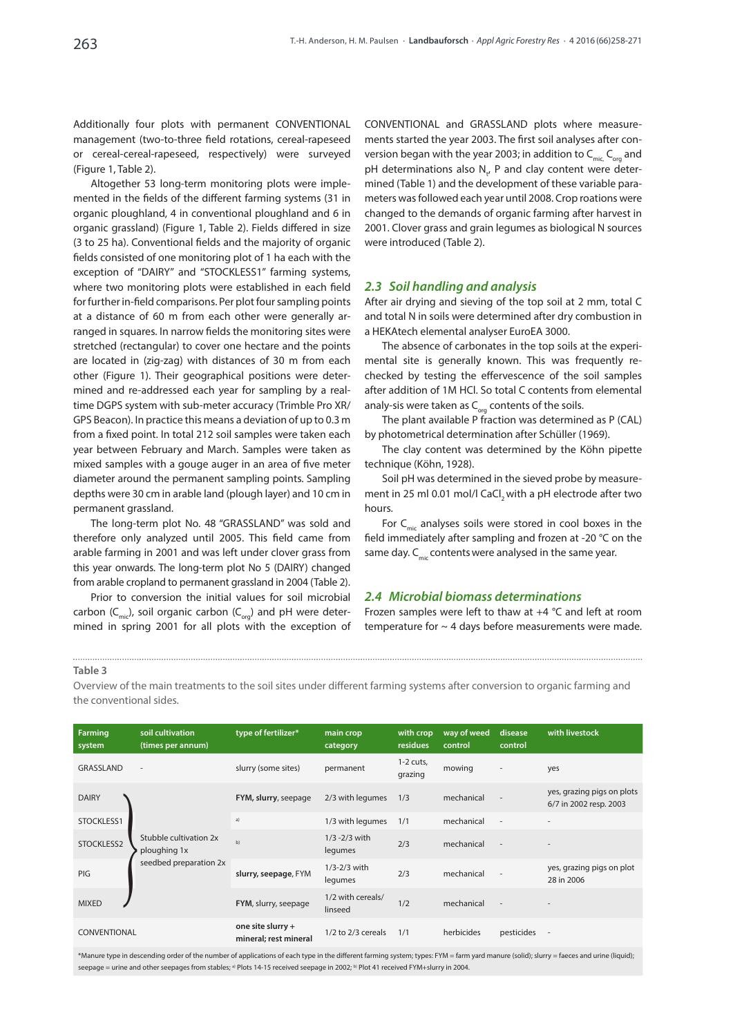Additionally four plots with permanent CONVENTIONAL management (two-to-three field rotations, cereal-rapeseed or cereal-cereal-rapeseed, respectively) were surveyed (Figure 1, Table 2).

Altogether 53 long-term monitoring plots were implemented in the fields of the different farming systems (31 in organic ploughland, 4 in conventional ploughland and 6 in organic grassland) (Figure 1, Table 2). Fields differed in size (3 to 25 ha). Conventional fields and the majority of organic fields consisted of one monitoring plot of 1 ha each with the exception of "DAIRY" and "STOCKLESS1" farming systems, where two monitoring plots were established in each field for further in-field comparisons. Per plot four sampling points at a distance of 60 m from each other were generally arranged in squares. In narrow fields the monitoring sites were stretched (rectangular) to cover one hectare and the points are located in (zig-zag) with distances of 30 m from each other (Figure 1). Their geographical positions were determined and re-addressed each year for sampling by a realtime DGPS system with sub-meter accuracy (Trimble Pro XR/ GPS Beacon). In practice this means a deviation of up to 0.3 m from a fixed point. In total 212 soil samples were taken each year between February and March. Samples were taken as mixed samples with a gouge auger in an area of five meter diameter around the permanent sampling points. Sampling depths were 30 cm in arable land (plough layer) and 10 cm in permanent grassland.

The long-term plot No. 48 "GRASSLAND" was sold and therefore only analyzed until 2005. This field came from arable farming in 2001 and was left under clover grass from this year onwards. The long-term plot No 5 (DAIRY) changed from arable cropland to permanent grassland in 2004 (Table 2).

Prior to conversion the initial values for soil microbial carbon  $(C_{\text{mic}})$ , soil organic carbon  $(C_{\text{occ}})$  and pH were determined in spring 2001 for all plots with the exception of CONVENTIONAL and GRASSLAND plots where measurements started the year 2003. The first soil analyses after conversion began with the year 2003; in addition to  $C_{\text{mic}}$ ,  $C_{\text{cor}}$  and pH determinations also  $N_{t}$ , P and clay content were determined (Table 1) and the development of these variable parameters was followed each year until 2008. Crop roations were changed to the demands of organic farming after harvest in 2001. Clover grass and grain legumes as biological N sources were introduced (Table 2).

#### *2.3 Soil handling and analysis*

After air drying and sieving of the top soil at 2 mm, total C and total N in soils were determined after dry combustion in a HEKAtech elemental analyser EuroEA 3000.

The absence of carbonates in the top soils at the experimental site is generally known. This was frequently rechecked by testing the effervescence of the soil samples after addition of 1M HCl. So total C contents from elemental analy-sis were taken as  $C_{\text{or}q}$  contents of the soils.

The plant available P fraction was determined as P (CAL) by photometrical determination after Schüller (1969).

The clay content was determined by the Köhn pipette technique (Köhn, 1928).

Soil pH was determined in the sieved probe by measurement in 25 ml 0.01 mol/l CaCl, with a pH electrode after two hours.

For  $C_{\text{mic}}$  analyses soils were stored in cool boxes in the field immediately after sampling and frozen at -20 °C on the same day.  $C_{\text{mic}}$  contents were analysed in the same year.

#### *2.4 Microbial biomass determinations*

Frozen samples were left to thaw at +4 °C and left at room temperature for  $\sim$  4 days before measurements were made.

#### **Table 3**

Overview of the main treatments to the soil sites under different farming systems after conversion to organic farming and the conventional sides.

| <b>Farming</b><br>system | soil cultivation<br>(times per annum)  | type of fertilizer*                        | main crop<br>category        | with crop<br>residues  | way of weed<br>control | disease<br>control       | with livestock                                       |
|--------------------------|----------------------------------------|--------------------------------------------|------------------------------|------------------------|------------------------|--------------------------|------------------------------------------------------|
| GRASSLAND                | $\overline{\phantom{a}}$               | slurry (some sites)                        | permanent                    | $1-2$ cuts,<br>grazing | mowing                 | $\overline{\phantom{a}}$ | yes                                                  |
| <b>DAIRY</b>             |                                        | FYM, slurry, seepage                       | 2/3 with legumes             | 1/3                    | mechanical             | $\overline{\phantom{a}}$ | yes, grazing pigs on plots<br>6/7 in 2002 resp. 2003 |
| STOCKLESS1               | Stubble cultivation 2x<br>ploughing 1x | a)                                         | 1/3 with legumes             | 1/1                    | mechanical             | $\overline{\phantom{a}}$ |                                                      |
| STOCKLESS2               |                                        | b)                                         | $1/3 - 2/3$ with<br>legumes  | 2/3                    | mechanical             | $\overline{\phantom{a}}$ |                                                      |
| PIG                      | seedbed preparation 2x                 | slurry, seepage, FYM                       | 1/3-2/3 with<br>legumes      | 2/3                    | mechanical             | $\overline{\phantom{a}}$ | yes, grazing pigs on plot<br>28 in 2006              |
| <b>MIXED</b>             |                                        | FYM, slurry, seepage                       | 1/2 with cereals/<br>linseed | 1/2                    | mechanical             | $\overline{\phantom{a}}$ |                                                      |
| CONVENTIONAL             |                                        | one site slurry +<br>mineral; rest mineral | 1/2 to 2/3 cereals           | 1/1                    | herbicides             | pesticides               | $\overline{\phantom{a}}$                             |

\*Manure type in descending order of the number of applications of each type in the different farming system; types: FYM = farm yard manure (solid); slurry = faeces and urine (liquid); seepage = urine and other seepages from stables; <sup>a)</sup> Plots 14-15 received seepage in 2002; <sup>b)</sup> Plot 41 received FYM+slurry in 2004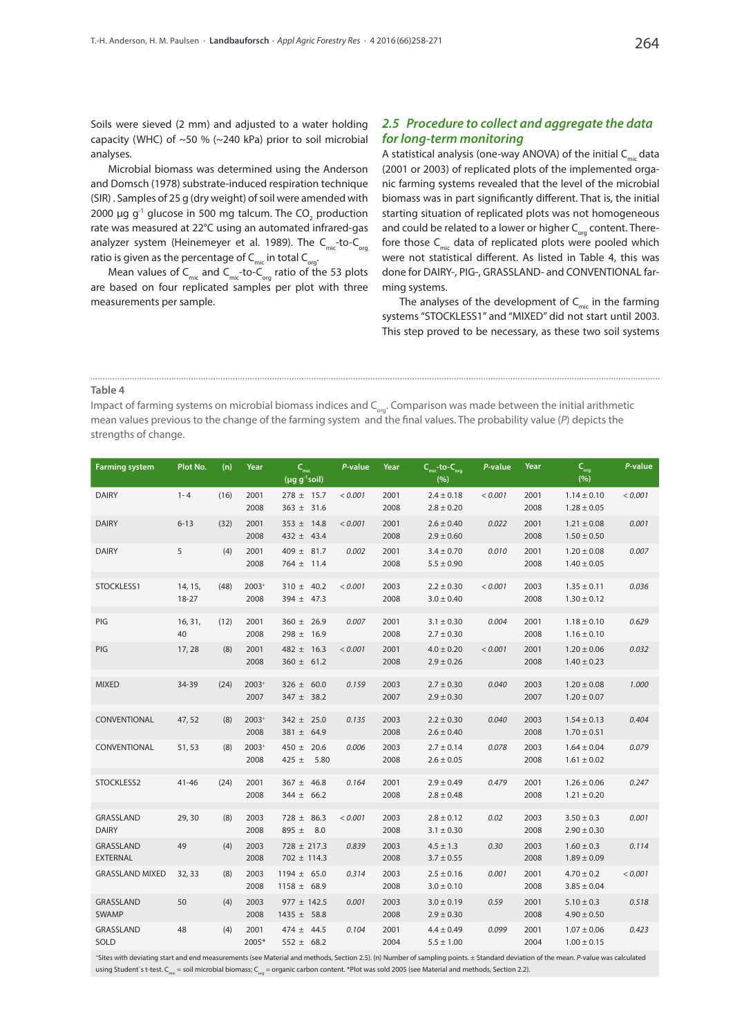Soils were sieved (2 mm) and adjusted to a water holding capacity (WHC) of ~50 % (~240 kPa) prior to soil microbial analyses.

Microbial biomass was determined using the Anderson and Domsch (1978) substrate-induced respiration technique (SIR) . Samples of 25 g (dry weight) of soil were amended with 2000  $\mu$ g g<sup>-1</sup> glucose in 500 mg talcum. The CO<sub>2</sub> production rate was measured at 22°C using an automated infrared-gas analyzer system (Heinemeyer et al. 1989). The  $C_{\text{mic}}$ -to- $C_{\text{ora}}$ ratio is given as the percentage of  $C_{\text{mic}}$  in total  $C_{\text{org}}$ .

Mean values of  $C_{\text{mic}}$  and  $C_{\text{mic}}$ -to- $C_{\text{ora}}$  ratio of the 53 plots are based on four replicated samples per plot with three measurements per sample.

## *2.5 Procedure to collect and aggregate the data for long-term monitoring*

A statistical analysis (one-way ANOVA) of the initial  $C_{\text{mic}}$  data (2001 or 2003) of replicated plots of the implemented organic farming systems revealed that the level of the microbial biomass was in part significantly different. That is, the initial starting situation of replicated plots was not homogeneous and could be related to a lower or higher  $C_{\text{ora}}$  content. Therefore those  $C_{\text{mic}}$  data of replicated plots were pooled which were not statistical different. As listed in Table 4, this was done for DAIRY-, PIG-, GRASSLAND- and CONVENTIONAL farming systems.

The analyses of the development of  $C_{\text{mic}}$  in the farming systems "STOCKLESS1" and "MIXED" did not start until 2003. This step proved to be necessary, as these two soil systems

#### **Table 4**

Impact of farming systems on microbial biomass indices and  $C_{\text{out}}$ . Comparison was made between the initial arithmetic mean values previous to the change of the farming system and the final values. The probability value (*P*) depicts the strengths of change.

| <b>Farming system</b>        | Plot No.           | (n)  | Year            | $C_{\rm mic}$<br>$(\mu g g^{-1} \text{soil})$ | P-value | Year         | $Cmic$ -to- $Corg$<br>(%)        | P-value | Year         | $C_{\text{org}}$<br>(%)            | P-value |
|------------------------------|--------------------|------|-----------------|-----------------------------------------------|---------|--------------|----------------------------------|---------|--------------|------------------------------------|---------|
| <b>DAIRY</b>                 | $1 - 4$            | (16) | 2001<br>2008    | $278 \pm 15.7$<br>$363 \pm 31.6$              | < 0.001 | 2001<br>2008 | $2.4 \pm 0.18$<br>$2.8 \pm 0.20$ | < 0.001 | 2001<br>2008 | $1.14 \pm 0.10$<br>$1.28 \pm 0.05$ | < 0.001 |
| <b>DAIRY</b>                 | $6 - 13$           | (32) | 2001<br>2008    | $353 \pm 14.8$<br>$432 \pm 43.4$              | < 0.001 | 2001<br>2008 | $2.6 \pm 0.40$<br>$2.9 \pm 0.60$ | 0.022   | 2001<br>2008 | $1.21 \pm 0.08$<br>$1.50 \pm 0.50$ | 0.001   |
| <b>DAIRY</b>                 | 5                  | (4)  | 2001<br>2008    | $409 \pm 81.7$<br>$764 \pm 11.4$              | 0.002   | 2001<br>2008 | $3.4 \pm 0.70$<br>$5.5 \pm 0.90$ | 0.010   | 2001<br>2008 | $1.20 \pm 0.08$<br>$1.40 \pm 0.05$ | 0.007   |
| STOCKLESS1                   | 14, 15,<br>$18-27$ | (48) | 2003+<br>2008   | $310 \pm 40.2$<br>$394 \pm 47.3$              | < 0.001 | 2003<br>2008 | $2.2 \pm 0.30$<br>$3.0 \pm 0.40$ | < 0.001 | 2003<br>2008 | $1.35 \pm 0.11$<br>$1.30 \pm 0.12$ | 0.036   |
| PIG                          | 16, 31,<br>40      | (12) | 2001<br>2008    | $360 \pm 26.9$<br>$298 \pm 16.9$              | 0.007   | 2001<br>2008 | $3.1 \pm 0.30$<br>$2.7 \pm 0.30$ | 0.004   | 2001<br>2008 | $1.18 \pm 0.10$<br>$1.16 \pm 0.10$ | 0.629   |
| PIG                          | 17,28              | (8)  | 2001<br>2008    | $482 \pm 16.3$<br>$360 \pm 61.2$              | < 0.001 | 2001<br>2008 | $4.0 \pm 0.20$<br>$2.9 \pm 0.26$ | < 0.001 | 2001<br>2008 | $1.20 \pm 0.06$<br>$1.40 \pm 0.23$ | 0.032   |
| <b>MIXED</b>                 | 34-39              | (24) | $2003+$<br>2007 | $326 \pm 60.0$<br>$347 \pm 38.2$              | 0.159   | 2003<br>2007 | $2.7 \pm 0.30$<br>$2.9 \pm 0.30$ | 0.040   | 2003<br>2007 | $1.20 \pm 0.08$<br>$1.20 \pm 0.07$ | 1.000   |
| CONVENTIONAL                 | 47,52              | (8)  | $2003+$<br>2008 | $342 \pm 25.0$<br>$381 \pm 64.9$              | 0.135   | 2003<br>2008 | $2.2 \pm 0.30$<br>$2.6 \pm 0.40$ | 0.040   | 2003<br>2008 | $1.54 \pm 0.13$<br>$1.70 \pm 0.51$ | 0.404   |
| CONVENTIONAL                 | 51,53              | (8)  | $2003+$<br>2008 | $450 \pm 20.6$<br>425 $\pm$<br>5.80           | 0.006   | 2003<br>2008 | $2.7 \pm 0.14$<br>$2.6 \pm 0.05$ | 0.078   | 2003<br>2008 | $1.64 \pm 0.04$<br>$1.61 \pm 0.02$ | 0.079   |
| STOCKLESS2                   | $41 - 46$          | (24) | 2001<br>2008    | $367 \pm 46.8$<br>$344 \pm 66.2$              | 0.164   | 2001<br>2008 | $2.9 \pm 0.49$<br>$2.8 \pm 0.48$ | 0.479   | 2001<br>2008 | $1.26 \pm 0.06$<br>$1.21 \pm 0.20$ | 0.247   |
| GRASSLAND<br><b>DAIRY</b>    | 29,30              | (8)  | 2003<br>2008    | $728 \pm 86.3$<br>$895 \pm 8.0$               | < 0.001 | 2003<br>2008 | $2.8 \pm 0.12$<br>$3.1 \pm 0.30$ | 0.02    | 2003<br>2008 | $3.50 \pm 0.3$<br>$2.90 \pm 0.30$  | 0.001   |
| GRASSLAND<br><b>EXTERNAL</b> | 49                 | (4)  | 2003<br>2008    | $728 \pm 217.3$<br>$702 \pm 114.3$            | 0.839   | 2003<br>2008 | $4.5 \pm 1.3$<br>$3.7 \pm 0.55$  | 0.30    | 2003<br>2008 | $1.60 \pm 0.3$<br>$1.89 \pm 0.09$  | 0.114   |
| <b>GRASSLAND MIXED</b>       | 32, 33             | (8)  | 2003<br>2008    | $1194 \pm 65.0$<br>$1158 \pm 68.9$            | 0.314   | 2003<br>2008 | $2.5 \pm 0.16$<br>$3.0 \pm 0.10$ | 0.001   | 2001<br>2008 | $4.70 \pm 0.2$<br>$3.85 \pm 0.04$  | < 0.001 |
| GRASSLAND<br><b>SWAMP</b>    | 50                 | (4)  | 2003<br>2008    | $977 \pm 142.5$<br>$1435 \pm 58.8$            | 0.001   | 2003<br>2008 | $3.0 \pm 0.19$<br>$2.9 \pm 0.30$ | 0.59    | 2001<br>2008 | $5.10 \pm 0.3$<br>$4.90 \pm 0.50$  | 0.518   |
| GRASSLAND<br>SOLD            | 48                 | (4)  | 2001<br>2005*   | $474 \pm 44.5$<br>$552 \pm 68.2$              | 0.104   | 2001<br>2004 | $4.4 \pm 0.49$<br>$5.5 \pm 1.00$ | 0.099   | 2001<br>2004 | $1.07 \pm 0.06$<br>$1.00 \pm 0.15$ | 0.423   |

+Sites with deviating start and end measurements (see Material and methods, Section 2.5). (n) Number of sampling points. ± Standard deviation of the mean. *P*-value was calculated using Student's t-test. C<sub>mic</sub> = soil microbial biomass; C<sub>org</sub> = organic carbon content. \*Plot was sold 2005 (see Material and methods, Section 2.2).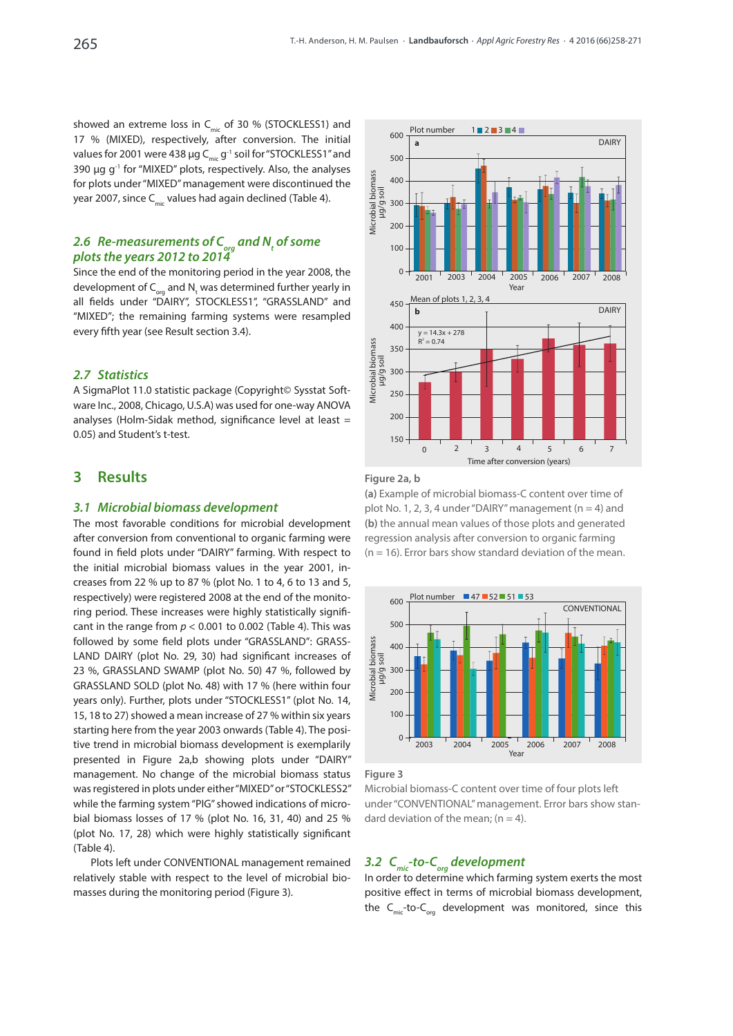showed an extreme loss in  $C_{\text{mic}}$  of 30 % (STOCKLESS1) and 17 % (MIXED), respectively, after conversion. The initial values for 2001 were 438  $\mu$ g C<sub>mic</sub> g<sup>-1</sup> soil for "STOCKLESS1" and 390  $\mu$ g g<sup>-1</sup> for "MIXED" plots, respectively. Also, the analyses for plots under "MIXED" management were discontinued the year 2007, since  $C_{mic}$  values had again declined (Table 4).

## 2.6 Re-measurements of C<sub>org</sub> and N<sub>t</sub> of some *plots the years 2012 to 2014*

Since the end of the monitoring period in the year 2008, the development of  $\mathsf{C}_{_{\mathrm{org}}}$  and  $\mathsf{N}_{_{\mathrm{t}}}$  was determined further yearly in all fields under "DAIRY", STOCKLESS1", "GRASSLAND" and "MIXED"; the remaining farming systems were resampled every fifth year (see Result section 3.4).

## *2.7 Statistics*

A SigmaPlot 11.0 statistic package (Copyright© Sysstat Software Inc., 2008, Chicago, U.S.A) was used for one-way ANOVA analyses (Holm-Sidak method, significance level at least = 0.05) and Student's t-test.

## **3 Results**

### *3.1 Microbial biomass development*

The most favorable conditions for microbial development after conversion from conventional to organic farming were found in field plots under "DAIRY" farming. With respect to the initial microbial biomass values in the year 2001, increases from 22 % up to 87 % (plot No. 1 to 4, 6 to 13 and 5, respectively) were registered 2008 at the end of the monitoring period. These increases were highly statistically significant in the range from  $p < 0.001$  to 0.002 (Table 4). This was followed by some field plots under "GRASSLAND": GRASS-LAND DAIRY (plot No. 29, 30) had significant increases of 23 %, GRASSLAND SWAMP (plot No. 50) 47 %, followed by GRASSLAND SOLD (plot No. 48) with 17 % (here within four years only). Further, plots under "STOCKLESS1" (plot No. 14, 15, 18 to 27) showed a mean increase of 27 % within six years starting here from the year 2003 onwards (Table 4). The positive trend in microbial biomass development is exemplarily presented in Figure 2a,b showing plots under "DAIRY" management. No change of the microbial biomass status was registered in plots under either "MIXED" or "STOCKLESS2" while the farming system "PIG" showed indications of microbial biomass losses of 17 % (plot No. 16, 31, 40) and 25 % (plot No. 17, 28) which were highly statistically significant (Table 4).

Plots left under CONVENTIONAL management remained relatively stable with respect to the level of microbial biomasses during the monitoring period (Figure 3).



## **Figure 2a, b**

**(a)** Example of microbial biomass-C content over time of plot No. 1, 2, 3, 4 under "DAIRY" management  $(n = 4)$  and **(b)** the annual mean values of those plots and generated regression analysis after conversion to organic farming  $(n = 16)$ . Error bars show standard deviation of the mean.



**Figure 3**

Microbial biomass-C content over time of four plots left under "CONVENTIONAL" management. Error bars show standard deviation of the mean;  $(n = 4)$ .

# *3.2 Cmic-to-C org development*

In order to determine which farming system exerts the most positive effect in terms of microbial biomass development, the  $C_{\text{mic}}$ -to- $C_{\text{ora}}$  development was monitored, since this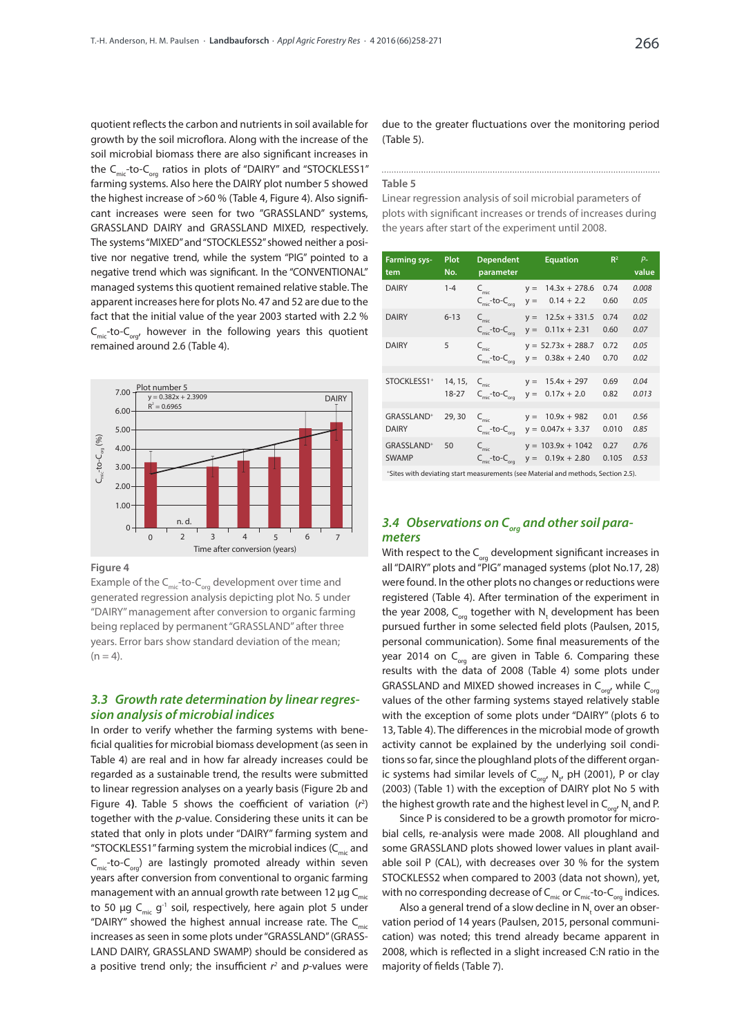quotient reflects the carbon and nutrients in soil available for growth by the soil microflora. Along with the increase of the soil microbial biomass there are also significant increases in the  $C_{\text{mic}}$ -to- $C_{\text{ora}}$  ratios in plots of "DAIRY" and "STOCKLESS1" farming systems. Also here the DAIRY plot number 5 showed the highest increase of >60 % (Table 4, Figure 4). Also significant increases were seen for two "GRASSLAND" systems, GRASSLAND DAIRY and GRASSLAND MIXED, respectively. The systems "MIXED" and "STOCKLESS2" showed neither a positive nor negative trend, while the system "PIG" pointed to a negative trend which was significant. In the "CONVENTIONAL" managed systems this quotient remained relative stable. The apparent increases here for plots No. 47 and 52 are due to the fact that the initial value of the year 2003 started with 2.2 %  $C_{\text{mic}}$ -to- $C_{\text{ord}}$ , however in the following years this quotient remained around 2.6 (Table 4).



**Figure 4**

Example of the  $C<sub>mic</sub>$ -to- $C<sub>ox</sub>$  development over time and generated regression analysis depicting plot No. 5 under "DAIRY" management after conversion to organic farming being replaced by permanent "GRASSLAND" after three years. Error bars show standard deviation of the mean;  $(n = 4)$ .

## *3.3 Growth rate determination by linear regression analysis of microbial indices*

In order to verify whether the farming systems with beneficial qualities for microbial biomass development (as seen in Table 4) are real and in how far already increases could be regarded as a sustainable trend, the results were submitted to linear regression analyses on a yearly basis (Figure 2b and Figure 4**)**. Table 5 shows the coefficient of variation (*r* 2 ) together with the *p*-value. Considering these units it can be stated that only in plots under "DAIRY" farming system and "STOCKLESS1" farming system the microbial indices  $(C_{\text{mic}}$  and  $C_{\text{mic}}$ -to- $C_{\text{ora}}$ ) are lastingly promoted already within seven years after conversion from conventional to organic farming management with an annual growth rate between 12  $\mu$ g C<sub>mic</sub> to 50 µg C<sub>mic</sub> g<sup>-1</sup> soil, respectively, here again plot 5 under "DAIRY" showed the highest annual increase rate. The  $C_{\text{mic}}$ increases as seen in some plots under "GRASSLAND" (GRASS-LAND DAIRY, GRASSLAND SWAMP) should be considered as a positive trend only; the insufficient *r 2* and *p*-values were due to the greater fluctuations over the monitoring period (Table 5).

#### **Table 5**

Linear regression analysis of soil microbial parameters of plots with significant increases or trends of increases during the years after start of the experiment until 2008.

| <b>Farming sys-</b><br>tem             | Plot<br>No.          | <b>Dependent</b><br>parameter                              | <b>Equation</b>                                     | R <sup>2</sup> | $P-$<br>value |
|----------------------------------------|----------------------|------------------------------------------------------------|-----------------------------------------------------|----------------|---------------|
| <b>DAIRY</b>                           | $1 - 4$              | $C_{\text{mic}}$<br>$C_{\text{mic}}$ -to- $C_{\text{ora}}$ | $14.3x + 278.6$<br>$V =$<br>$0.14 + 2.2$<br>$y =$   | 0.74<br>0.60   | 0.008<br>0.05 |
| <b>DAIRY</b>                           | $6 - 13$             | $C_{\rm mic}$<br>$C_{\text{mic}}$ -to- $C_{\text{ora}}$    | $12.5x + 331.5$<br>$V =$<br>$0.11x + 2.31$<br>$y =$ | 0.74<br>0.60   | 0.02<br>0.07  |
| <b>DAIRY</b>                           | 5                    | $C_{\rm mic}$<br>$Cmic$ -to- $Cora$                        | $y = 52.73x + 288.7$<br>$0.38x + 2.40$<br>$y =$     | 0.72<br>0.70   | 0.05<br>0.02  |
| STOCKLESS1+                            | 14, 15,<br>$18 - 27$ | $C_{\text{mic}}$<br>$C_{\text{mic}}$ -to- $C_{\text{ora}}$ | $15.4x + 297$<br>$V =$<br>$0.17x + 2.0$<br>$y =$    | 0.69<br>0.82   | 0.04<br>0.013 |
| GRASSLAND <sup>+</sup><br><b>DAIRY</b> | 29,30                | $C_{\text{mic}}$<br>$C_{\text{mic}}$ -to- $C_{\text{ora}}$ | $10.9x + 982$<br>$V =$<br>$y = 0.047x + 3.37$       | 0.01<br>0.010  | 0.56<br>0.85  |
| GRASSLAND <sup>+</sup><br><b>SWAMP</b> | 50                   | $C_{\rm mic}$<br>$Cmic$ -to- $Cora$                        | $y = 103.9x + 1042$<br>$0.19x + 2.80$<br>$y =$      | 0.27<br>0.105  | 0.76<br>0.53  |

+Sites with deviating start measurements (see Material and methods, Section 2.5).

## *3.4 Observations on C org and other soil parameters*

With respect to the  $C_{\text{on}}$  development significant increases in all "DAIRY" plots and "PIG" managed systems (plot No.17, 28) were found. In the other plots no changes or reductions were registered (Table 4). After termination of the experiment in the year 2008,  $C_{_{org}}$  together with  $N_{t}$  development has been pursued further in some selected field plots (Paulsen, 2015, personal communication). Some final measurements of the year 2014 on  $C_{\text{ora}}$  are given in Table 6. Comparing these results with the data of 2008 (Table 4) some plots under GRASSLAND and MIXED showed increases in  $C_{\text{or}q}$ , while  $C_{\text{or}q}$ values of the other farming systems stayed relatively stable with the exception of some plots under "DAIRY" (plots 6 to 13, Table 4). The differences in the microbial mode of growth activity cannot be explained by the underlying soil conditions so far, since the ploughland plots of the different organic systems had similar levels of  $C_{\text{org}}$ , N<sub>t</sub>, pH (2001), P or clay (2003) (Table 1) with the exception of DAIRY plot No 5 with the highest growth rate and the highest level in  $\mathsf{C}_{_{\sf org}'}$  N<sub>t</sub> and P.

Since P is considered to be a growth promotor for microbial cells, re-analysis were made 2008. All ploughland and some GRASSLAND plots showed lower values in plant available soil P (CAL), with decreases over 30 % for the system STOCKLESS2 when compared to 2003 (data not shown), yet, with no corresponding decrease of  $C_{\text{mic}}$  or  $C_{\text{mic}}$ -to- $C_{\text{ora}}$  indices.

Also a general trend of a slow decline in  $N_t$  over an observation period of 14 years (Paulsen, 2015, personal communication) was noted; this trend already became apparent in 2008, which is reflected in a slight increased C:N ratio in the majority of fields (Table 7).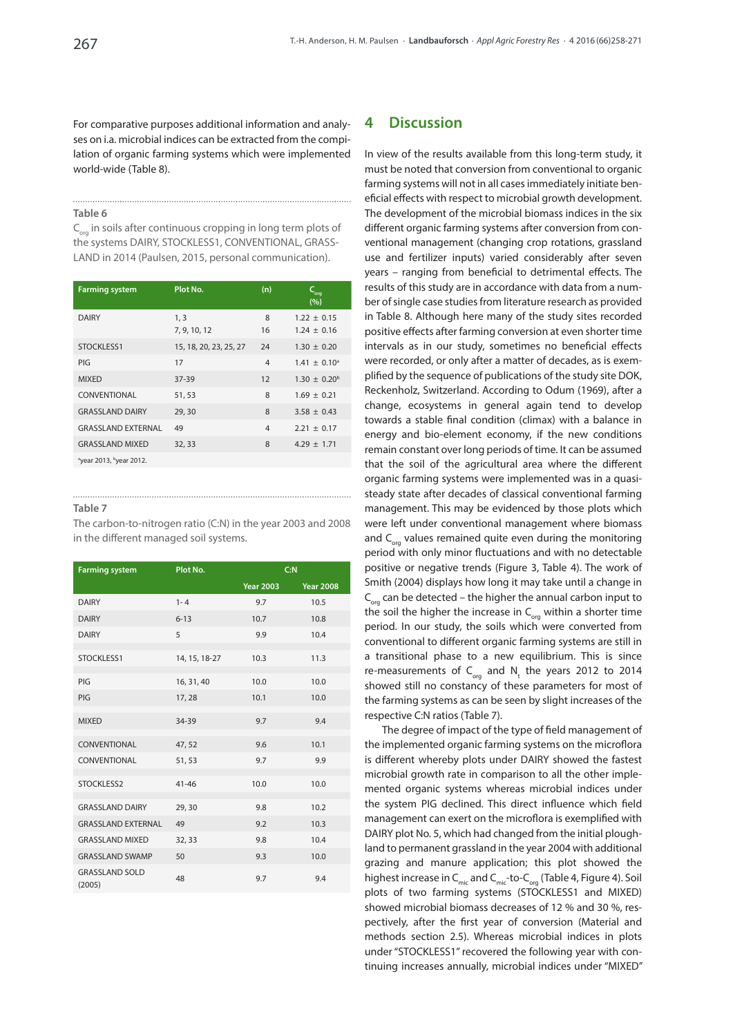For comparative purposes additional information and analyses on i.a. microbial indices can be extracted from the compilation of organic farming systems which were implemented world-wide (Table 8).

#### **Table 6**

 $C_{\text{ora}}$  in soils after continuous cropping in long term plots of the systems DAIRY, STOCKLESS1, CONVENTIONAL, GRASS-LAND in 2014 (Paulsen, 2015, personal communication).

| <b>Farming system</b>               | Plot No.               | (n)            | <b>Q<sub>ug</sub></b><br>(%)       |
|-------------------------------------|------------------------|----------------|------------------------------------|
| <b>DAIRY</b>                        | 1, 3<br>7, 9, 10, 12   | 8<br>16        | $1.22 \pm 0.15$<br>$1.24 \pm 0.16$ |
| STOCKLESS1                          | 15, 18, 20, 23, 25, 27 | 24             | $1.30 \pm 0.20$                    |
| PIG                                 | 17                     | $\overline{4}$ | $1.41 \pm 0.10^a$                  |
| <b>MIXED</b>                        | 37-39                  | 12             | $1.30 \pm 0.20^{\rm b}$            |
| CONVENTIONAL                        | 51,53                  | 8              | $1.69 \pm 0.21$                    |
| <b>GRASSLAND DAIRY</b>              | 29,30                  | 8              | $3.58 \pm 0.43$                    |
| <b>GRASSLAND EXTERNAL</b>           | 49                     | $\overline{4}$ | $2.21 \pm 0.17$                    |
| <b>GRASSLAND MIXED</b>              | 32,33                  | 8              | $4.29 \pm 1.71$                    |
| <sup>a</sup> year 2013, byear 2012. |                        |                |                                    |

#### **Table 7**

The carbon-to-nitrogen ratio (C:N) in the year 2003 and 2008 in the different managed soil systems.

**Farming system Plot No. C:N Year 2003 Year 2008** DAIRY 1-4 9.7 10.5 DAIRY 6-13 10.7 10.8 DAIRY 5 9.9 10.4 STOCKLESS1 14, 15, 18-27 10.3 11.3 PIG 16, 31, 40 10.0 10.0 PIG 17, 28 10.1 10.0 MIXED 34-39 9.7 9.4 CONVENTIONAL 47, 52 9.6 10.1 CONVENTIONAL 51, 53 9.7 9.9 STOCKLESS2 41-46 10.0 10.0 GRASSI AND DAIRY 29.30 98 10.2 GRASSLAND EXTERNAL 49 9.2 10.3 GRASSLAND MIXED 32, 33 9.8 10.4 GRASSLAND SWAMP 50 9.3 10.0 GRASSLAND SOLD (2005) 48 9.7 9.4

## **4 Discussion**

In view of the results available from this long-term study, it must be noted that conversion from conventional to organic farming systems will not in all cases immediately initiate beneficial effects with respect to microbial growth development. The development of the microbial biomass indices in the six different organic farming systems after conversion from conventional management (changing crop rotations, grassland use and fertilizer inputs) varied considerably after seven years – ranging from beneficial to detrimental effects. The results of this study are in accordance with data from a number of single case studies from literature research as provided in Table 8. Although here many of the study sites recorded positive effects after farming conversion at even shorter time intervals as in our study, sometimes no beneficial effects were recorded, or only after a matter of decades, as is exemplified by the sequence of publications of the study site DOK, Reckenholz, Switzerland. According to Odum (1969), after a change, ecosystems in general again tend to develop towards a stable final condition (climax) with a balance in energy and bio-element economy, if the new conditions remain constant over long periods of time. It can be assumed that the soil of the agricultural area where the different organic farming systems were implemented was in a quasisteady state after decades of classical conventional farming management. This may be evidenced by those plots which were left under conventional management where biomass and  $C_{\text{one}}$  values remained quite even during the monitoring period with only minor fluctuations and with no detectable positive or negative trends (Figure 3, Table 4). The work of Smith (2004) displays how long it may take until a change in  $C_{\text{obs}}$  can be detected – the higher the annual carbon input to the soil the higher the increase in  $C_{\text{on}}$  within a shorter time period. In our study, the soils which were converted from conventional to different organic farming systems are still in a transitional phase to a new equilibrium. This is since re-measurements of  $C_{org}$  and  $N_t$  the years 2012 to 2014 showed still no constancy of these parameters for most of the farming systems as can be seen by slight increases of the respective C:N ratios (Table 7).

The degree of impact of the type of field management of the implemented organic farming systems on the microflora is different whereby plots under DAIRY showed the fastest microbial growth rate in comparison to all the other implemented organic systems whereas microbial indices under the system PIG declined. This direct influence which field management can exert on the microflora is exemplified with DAIRY plot No. 5, which had changed from the initial ploughland to permanent grassland in the year 2004 with additional grazing and manure application; this plot showed the highest increase in  $C_{\text{mic}}$  and  $C_{\text{mic}}$ -to- $C_{\text{ora}}$  (Table 4, Figure 4). Soil plots of two farming systems (STOCKLESS1 and MIXED) showed microbial biomass decreases of 12 % and 30 %, respectively, after the first year of conversion (Material and methods section 2.5). Whereas microbial indices in plots under "STOCKLESS1" recovered the following year with continuing increases annually, microbial indices under "MIXED"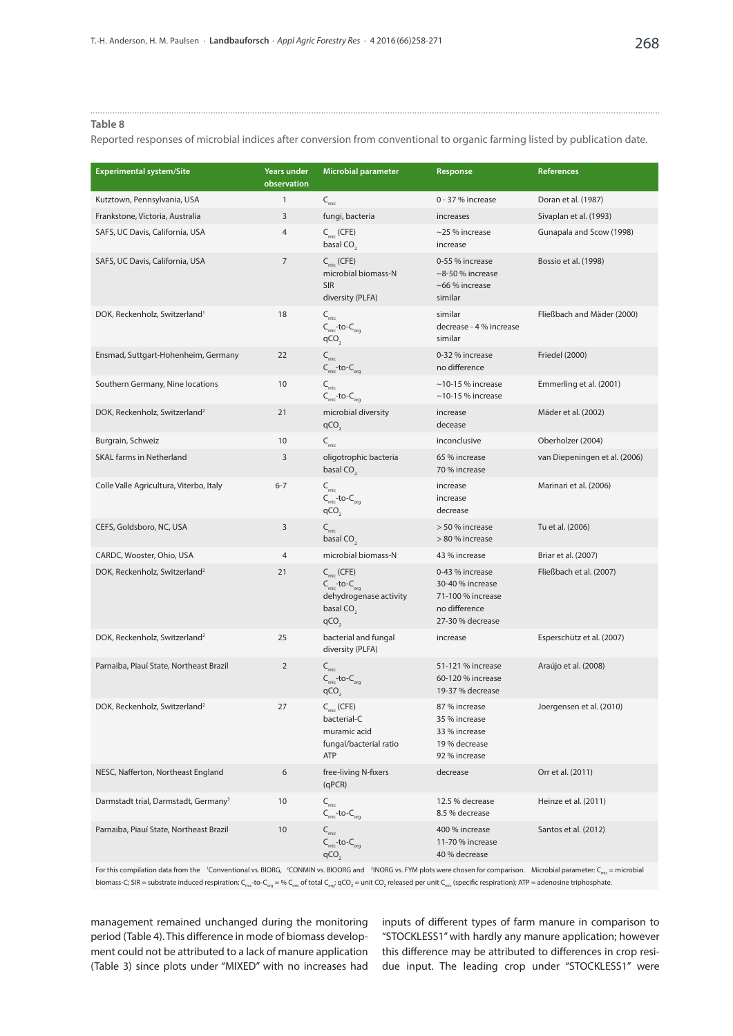#### **Table 8**

Reported responses of microbial indices after conversion from conventional to organic farming listed by publication date.

| <b>Experimental system/Site</b>                  | Years under<br>observation | <b>Microbial parameter</b>                                                                                           | Response                                                                                      | <b>References</b>             |
|--------------------------------------------------|----------------------------|----------------------------------------------------------------------------------------------------------------------|-----------------------------------------------------------------------------------------------|-------------------------------|
| Kutztown, Pennsylvania, USA                      | $\mathbf{1}$               | $C_{\text{mic}}$                                                                                                     | 0 - 37 % increase                                                                             | Doran et al. (1987)           |
| Frankstone, Victoria, Australia                  | 3                          | fungi, bacteria                                                                                                      | increases                                                                                     | Sivaplan et al. (1993)        |
| SAFS, UC Davis, California, USA                  | 4                          | $C_{\text{mic}}$ (CFE)<br>basal CO <sub>2</sub>                                                                      | ~25 % increase<br>increase                                                                    | Gunapala and Scow (1998)      |
| SAFS, UC Davis, California, USA                  | $\overline{7}$             | $C_{\text{mic}}$ (CFE)<br>microbial biomass-N<br><b>SIR</b><br>diversity (PLFA)                                      | 0-55 % increase<br>$\sim$ 8-50 % increase<br>~66 % increase<br>similar                        | Bossio et al. (1998)          |
| DOK, Reckenholz, Switzerland <sup>1</sup>        | 18                         | $\mathsf{C}_{\mathsf{mic}}$<br>$C_{\text{mic}}$ -to- $C_{\text{org}}$<br>qCO <sub>2</sub>                            | similar<br>decrease - 4 % increase<br>similar                                                 | Fließbach and Mäder (2000)    |
| Ensmad, Suttgart-Hohenheim, Germany              | 22                         | $C_{\text{mic}}$<br>C <sub>mic</sub> -to-C <sub>org</sub>                                                            | 0-32 % increase<br>no difference                                                              | <b>Friedel (2000)</b>         |
| Southern Germany, Nine locations                 | 10                         | $\mathsf{C}_{\mathsf{mic}}$<br>$C_{\text{mic}}$ -to- $C_{\text{ora}}$                                                | $\sim$ 10-15 % increase<br>$\sim$ 10-15 % increase                                            | Emmerling et al. (2001)       |
| DOK, Reckenholz, Switzerland <sup>2</sup>        | 21                         | microbial diversity<br>qCO <sub>2</sub>                                                                              | increase<br>decease                                                                           | Mäder et al. (2002)           |
| Burgrain, Schweiz                                | 10                         | $C_{\text{mic}}$                                                                                                     | inconclusive                                                                                  | Oberholzer (2004)             |
| <b>SKAL farms in Netherland</b>                  | 3                          | oligotrophic bacteria<br>basal CO <sub>2</sub>                                                                       | 65 % increase<br>70 % increase                                                                | van Diepeningen et al. (2006) |
| Colle Valle Agricultura, Viterbo, Italy          | $6 - 7$                    | $C_{\rm mic}$<br>$C_{\text{mic}}$ -to- $C_{\text{org}}$<br>qCO <sub>2</sub>                                          | increase<br>increase<br>decrease                                                              | Marinari et al. (2006)        |
| CEFS, Goldsboro, NC, USA                         | 3                          | $\mathsf{C}_{\mathsf{mic}}$<br>basal CO <sub>2</sub>                                                                 | > 50 % increase<br>> 80 % increase                                                            | Tu et al. (2006)              |
| CARDC, Wooster, Ohio, USA                        | $\overline{4}$             | microbial biomass-N                                                                                                  | 43 % increase                                                                                 | Briar et al. (2007)           |
| DOK, Reckenholz, Switzerland <sup>2</sup>        | 21                         | $Cmic$ (CFE)<br>$C_{\text{mic}}$ -to- $C_{\text{org}}$<br>dehydrogenase activity<br>basal $CO2$<br>qCO <sub>2</sub>  | 0-43 % increase<br>30-40 % increase<br>71-100 % increase<br>no difference<br>27-30 % decrease | Fließbach et al. (2007)       |
| DOK, Reckenholz, Switzerland <sup>2</sup>        | 25                         | bacterial and fungal<br>diversity (PLFA)                                                                             | increase                                                                                      | Esperschütz et al. (2007)     |
| Parnaiba, Piauí State, Northeast Brazil          | $\overline{2}$             | $C_{\rm mic}$<br>$\mathsf{C}_{\mathsf{mic}}\text{-}\mathsf{to}\text{-}\mathsf{C}_{\mathsf{org}}$<br>qCO <sub>2</sub> | 51-121 % increase<br>60-120 % increase<br>19-37 % decrease                                    | Araújo et al. (2008)          |
| DOK, Reckenholz, Switzerland <sup>2</sup>        | 27                         | $Cmic$ (CFE)<br>bacterial-C<br>muramic acid<br>fungal/bacterial ratio<br>ATP                                         | 87 % increase<br>35 % increase<br>33 % increase<br>19 % decrease<br>92 % increase             | Joergensen et al. (2010)      |
| NESC, Nafferton, Northeast England               | 6                          | free-living N-fixers<br>(qPCR)                                                                                       | decrease                                                                                      | Orr et al. (2011)             |
| Darmstadt trial, Darmstadt, Germany <sup>3</sup> | 10                         | $\mathsf{C}_{_{\sf mic}}$<br>$C_{\text{mic}}$ -to- $C_{\text{org}}$                                                  | 12.5 % decrease<br>8.5 % decrease                                                             | Heinze et al. (2011)          |
| Parnaiba, Piauí State, Northeast Brazil          | 10                         | $\mathsf{C}_{\mathsf{mic}}$<br>$C_{\text{mic}}$ -to- $C_{\text{org}}$<br>$qCO$ <sub>2</sub>                          | 400 % increase<br>11-70 % increase<br>40 % decrease                                           | Santos et al. (2012)          |

For this compilation data from the 'Conventional vs. BIORG, <sup>2</sup>CONMIN vs. BIOORG and <sup>3</sup>INORG vs. FYM plots were chosen for comparison. Microbial parameter: C<sub>mic</sub> = microbial biomass-C; SIR = substrate induced respiration; C<sub>mic</sub>-to-C<sub>org</sub> = % C<sub>mic</sub> of total C<sub>org</sub>; qCO<sub>2</sub> = unit CO<sub>2</sub> released per unit C<sub>mic</sub> (specific respiration); ATP = adenosine triphosphate.

management remained unchanged during the monitoring period (Table 4). This difference in mode of biomass development could not be attributed to a lack of manure application (Table 3) since plots under "MIXED" with no increases had inputs of different types of farm manure in comparison to "STOCKLESS1" with hardly any manure application; however this difference may be attributed to differences in crop residue input. The leading crop under "STOCKLESS1" were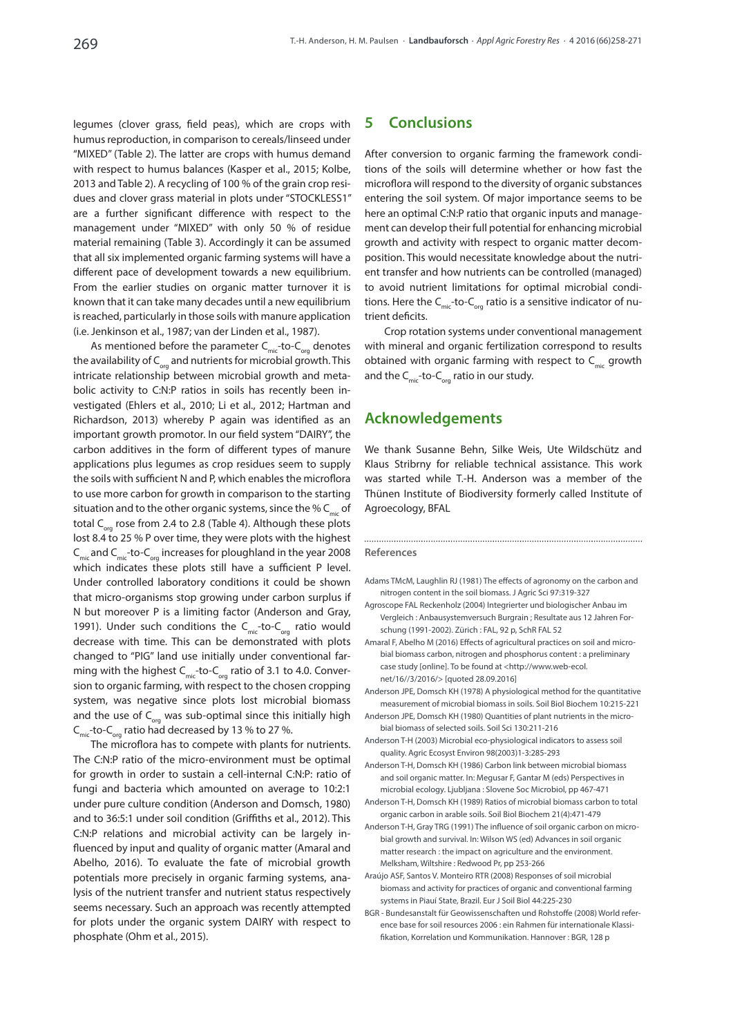legumes (clover grass, field peas), which are crops with humus reproduction, in comparison to cereals/linseed under "MIXED" (Table 2). The latter are crops with humus demand with respect to humus balances (Kasper et al., 2015; Kolbe, 2013 and Table 2). A recycling of 100 % of the grain crop residues and clover grass material in plots under "STOCKLESS1" are a further significant difference with respect to the management under "MIXED" with only 50 % of residue material remaining (Table 3). Accordingly it can be assumed that all six implemented organic farming systems will have a different pace of development towards a new equilibrium. From the earlier studies on organic matter turnover it is known that it can take many decades until a new equilibrium is reached, particularly in those soils with manure application (i.e. Jenkinson et al., 1987; van der Linden et al., 1987).

As mentioned before the parameter  $C_{\text{mic}}$ -to- $C_{\text{cor}}$  denotes the availability of  $C_{\text{obs}}$  and nutrients for microbial growth. This intricate relationship between microbial growth and metabolic activity to C:N:P ratios in soils has recently been investigated (Ehlers et al., 2010; Li et al., 2012; Hartman and Richardson, 2013) whereby P again was identified as an important growth promotor. In our field system "DAIRY", the carbon additives in the form of different types of manure applications plus legumes as crop residues seem to supply the soils with sufficient N and P, which enables the microflora to use more carbon for growth in comparison to the starting situation and to the other organic systems, since the %  $C_{\text{min}}$  of total C<sub>org</sub> rose from 2.4 to 2.8 (Table 4). Although these plots lost 8.4 to 25 % P over time, they were plots with the highest  $C_{\text{mic}}$  and  $C_{\text{mic}}$ -to- $C_{\text{ora}}$  increases for ploughland in the year 2008 which indicates these plots still have a sufficient P level. Under controlled laboratory conditions it could be shown that micro-organisms stop growing under carbon surplus if N but moreover P is a limiting factor (Anderson and Gray, 1991). Under such conditions the  $C_{\text{min}}$ -to- $C_{\text{max}}$  ratio would decrease with time. This can be demonstrated with plots changed to "PIG" land use initially under conventional farming with the highest  $C<sub>mic</sub>$ -to- $C<sub>ora</sub>$  ratio of 3.1 to 4.0. Conversion to organic farming, with respect to the chosen cropping system, was negative since plots lost microbial biomass and the use of  $C_{\text{obs}}$  was sub-optimal since this initially high  $C_{\text{min}}$ -to- $C_{\text{out}}$  ratio had decreased by 13 % to 27 %.

The microflora has to compete with plants for nutrients. The C:N:P ratio of the micro-environment must be optimal for growth in order to sustain a cell-internal C:N:P: ratio of fungi and bacteria which amounted on average to 10:2:1 under pure culture condition (Anderson and Domsch, 1980) and to 36:5:1 under soil condition (Griffiths et al., 2012). This C:N:P relations and microbial activity can be largely influenced by input and quality of organic matter (Amaral and Abelho, 2016). To evaluate the fate of microbial growth potentials more precisely in organic farming systems, analysis of the nutrient transfer and nutrient status respectively seems necessary. Such an approach was recently attempted for plots under the organic system DAIRY with respect to phosphate (Ohm et al., 2015).

## **5 Conclusions**

After conversion to organic farming the framework conditions of the soils will determine whether or how fast the microflora will respond to the diversity of organic substances entering the soil system. Of major importance seems to be here an optimal C:N:P ratio that organic inputs and management can develop their full potential for enhancing microbial growth and activity with respect to organic matter decomposition. This would necessitate knowledge about the nutrient transfer and how nutrients can be controlled (managed) to avoid nutrient limitations for optimal microbial conditions. Here the  $C<sub>mic</sub>$ -to- $C<sub>ora</sub>$  ratio is a sensitive indicator of nutrient deficits.

Crop rotation systems under conventional management with mineral and organic fertilization correspond to results obtained with organic farming with respect to  $C_{\text{min}}$  growth and the  $C_{\text{mic}}$ -to- $C_{\text{ora}}$  ratio in our study.

## **Acknowledgements**

We thank Susanne Behn, Silke Weis, Ute Wildschütz and Klaus Stribrny for reliable technical assistance. This work was started while T.-H. Anderson was a member of the Thünen Institute of Biodiversity formerly called Institute of Agroecology, BFAL

#### **References**

Adams TMcM, Laughlin RJ (1981) The effects of agronomy on the carbon and nitrogen content in the soil biomass. J Agric Sci 97:319-327

- Agroscope FAL Reckenholz (2004) Integrierter und biologischer Anbau im Vergleich : Anbausystemversuch Burgrain ; Resultate aus 12 Jahren Forschung (1991-2002). Zürich : FAL, 92 p, SchR FAL 52
- Amaral F, Abelho M (2016) Effects of agricultural practices on soil and microbial biomass carbon, nitrogen and phosphorus content : a preliminary case study [online]. To be found at <http:/[/www.web-ecol.](http://www.web-ecol.net/16//3/2016/) [net/16//3/2016/>](http://www.web-ecol.net/16//3/2016/) [quoted 28.09.2016]
- Anderson JPE, Domsch KH (1978) A physiological method for the quantitative measurement of microbial biomass in soils. Soil Biol Biochem 10:215-221
- Anderson JPE, Domsch KH (1980) Quantities of plant nutrients in the microbial biomass of selected soils. Soil Sci 130:211-216
- Anderson T-H (2003) Microbial eco-physiological indicators to assess soil quality. Agric Ecosyst Environ 98(2003)1-3:285-293
- Anderson T-H, Domsch KH (1986) Carbon link between microbial biomass and soil organic matter. In: Megusar F, Gantar M (eds) Perspectives in microbial ecology. Ljubljana : Slovene Soc Microbiol, pp 467-471
- Anderson T-H, Domsch KH (1989) Ratios of microbial biomass carbon to total organic carbon in arable soils. Soil Biol Biochem 21(4):471-479
- Anderson T-H, Gray TRG (1991) The influence of soil organic carbon on microbial growth and survival. In: Wilson WS (ed) Advances in soil organic matter research : the impact on agriculture and the environment. Melksham, Wiltshire : Redwood Pr, pp 253-266
- Araújo ASF, Santos V. Monteiro RTR (2008) Responses of soil microbial biomass and activity for practices of organic and conventional farming systems in Piauí State, Brazil. Eur J Soil Biol 44:225-230
- BGR Bundesanstalt für Geowissenschaften und Rohstoffe (2008) World reference base for soil resources 2006 : ein Rahmen für internationale Klassifikation, Korrelation und Kommunikation. Hannover : BGR, 128 p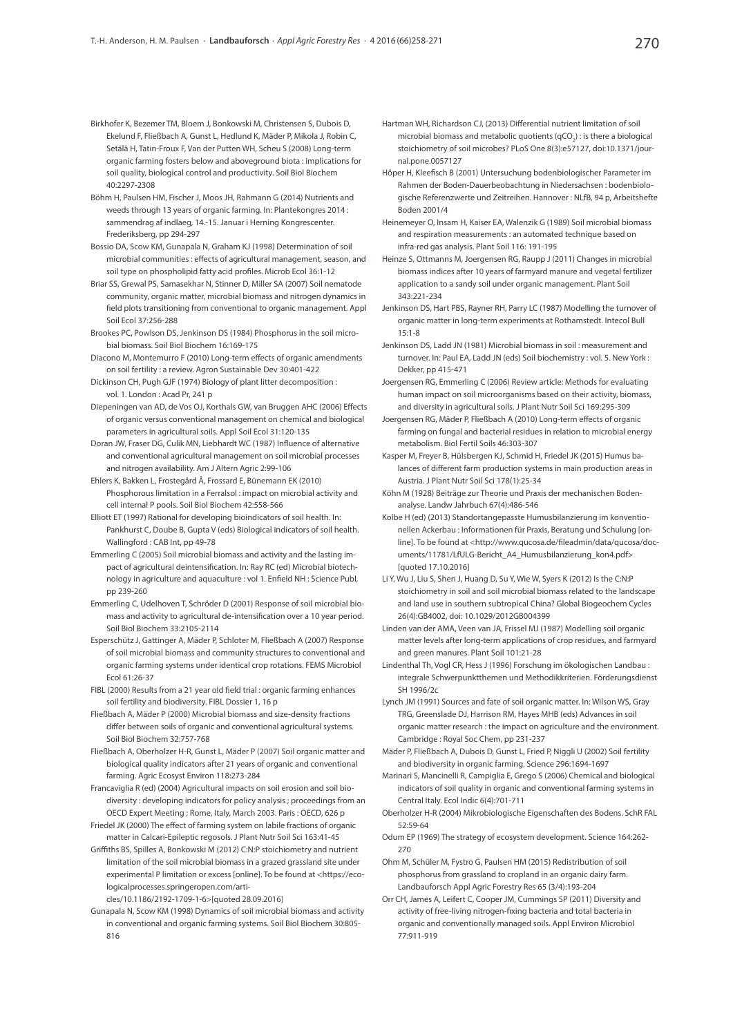- Birkhofer K, Bezemer TM, Bloem J, Bonkowski M, Christensen S, Dubois D, Ekelund F, Fließbach A, Gunst L, Hedlund K, Mäder P, Mikola J, Robin C, Setälä H, Tatin-Froux F, Van der Putten WH, Scheu S (2008) Long-term organic farming fosters below and aboveground biota : implications for soil quality, biological control and productivity. Soil Biol Biochem 40:2297-2308
- Böhm H, Paulsen HM, Fischer J, Moos JH, Rahmann G (2014) Nutrients and weeds through 13 years of organic farming. In: Plantekongres 2014 : sammendrag af indlaeg, 14.-15. Januar i Herning Kongrescenter. Frederiksberg, pp 294-297
- Bossio DA, Scow KM, Gunapala N, Graham KJ (1998) Determination of soil microbial communities : effects of agricultural management, season, and soil type on phospholipid fatty acid profiles. Microb Ecol 36:1-12
- Briar SS, Grewal PS, Samasekhar N, Stinner D, Miller SA (2007) Soil nematode community, organic matter, microbial biomass and nitrogen dynamics in field plots transitioning from conventional to organic management. Appl Soil Ecol 37:256-288
- Brookes PC, Powlson DS, Jenkinson DS (1984) Phosphorus in the soil microbial biomass. Soil Biol Biochem 16:169-175
- Diacono M, Montemurro F (2010) Long-term effects of organic amendments on soil fertility : a review. Agron Sustainable Dev 30:401-422
- Dickinson CH, Pugh GJF (1974) Biology of plant litter decomposition : vol. 1. London : Acad Pr, 241 p
- Diepeningen van AD, de Vos OJ, Korthals GW, van Bruggen AHC (2006) Effects of organic versus conventional management on chemical and biological parameters in agricultural soils. Appl Soil Ecol 31:120-135
- Doran JW, Fraser DG, Culik MN, Liebhardt WC (1987) Influence of alternative and conventional agricultural management on soil microbial processes and nitrogen availability. Am J Altern Agric 2:99-106
- Ehlers K, Bakken L, Frostegård Å, Frossard E, Bünemann EK (2010) Phosphorous limitation in a Ferralsol : impact on microbial activity and cell internal P pools. Soil Biol Biochem 42:558-566
- Elliott ET (1997) Rational for developing bioindicators of soil health. In: Pankhurst C, Doube B, Gupta V (eds) Biological indicators of soil health. Wallingford : CAB Int, pp 49-78
- Emmerling C (2005) Soil microbial biomass and activity and the lasting impact of agricultural deintensification. In: Ray RC (ed) Microbial biotechnology in agriculture and aquaculture : vol 1. Enfield NH : Science Publ, pp 239-260
- Emmerling C, Udelhoven T, Schröder D (2001) Response of soil microbial biomass and activity to agricultural de-intensification over a 10 year period. Soil Biol Biochem 33:2105-2114
- Esperschütz J, Gattinger A, Mäder P, Schloter M, Fließbach A (2007) Response of soil microbial biomass and community structures to conventional and organic farming systems under identical crop rotations. FEMS Microbiol Ecol 61:26-37
- FIBL (2000) Results from a 21 year old field trial : organic farming enhances soil fertility and biodiversity. FIBL Dossier 1, 16 p
- Fließbach A, Mäder P (2000) Microbial biomass and size-density fractions differ between soils of organic and conventional agricultural systems. Soil Biol Biochem 32:757-768
- Fließbach A, Oberholzer H-R, Gunst L, Mäder P (2007) Soil organic matter and biological quality indicators after 21 years of organic and conventional farming. Agric Ecosyst Environ 118:273-284
- Francaviglia R (ed) (2004) Agricultural impacts on soil erosion and soil biodiversity : developing indicators for policy analysis ; proceedings from an OECD Expert Meeting ; Rome, Italy, March 2003. Paris : OECD, 626 p
- Friedel JK (2000) The effect of farming system on labile fractions of organic matter in Calcari-Epileptic regosols. J Plant Nutr Soil Sci 163:41-45
- Griffiths BS, Spilles A, Bonkowski M (2012) C:N:P stoichiometry and nutrient limitation of the soil microbial biomass in a grazed grassland site under experimental P limitation or excess [online]. To be found at <[https://eco](https://ecologicalprocesses.springeropen.com/articles/10.1186/2192-1709-1-6)[logicalprocesses.springeropen.com/arti](https://ecologicalprocesses.springeropen.com/articles/10.1186/2192-1709-1-6)
	- [cles/10.1186/2192-1709-1-6>](https://ecologicalprocesses.springeropen.com/articles/10.1186/2192-1709-1-6)[quoted 28.09.2016]
- Gunapala N, Scow KM (1998) Dynamics of soil microbial biomass and activity in conventional and organic farming systems. Soil Biol Biochem 30:805- 816
- Hartman WH, Richardson CJ, (2013) Differential nutrient limitation of soil microbial biomass and metabolic quotients (qCO<sub>2</sub>) : is there a biological stoichiometry of soil microbes? PLoS One 8(3):e57127, doi:10.1371/journal.pone.0057127
- Höper H, Kleefisch B (2001) Untersuchung bodenbiologischer Parameter im Rahmen der Boden-Dauerbeobachtung in Niedersachsen : bodenbiologische Referenzwerte und Zeitreihen. Hannover : NLfB, 94 p, Arbeitshefte Boden 2001/4
- Heinemeyer O, Insam H, Kaiser EA, Walenzik G (1989) Soil microbial biomass and respiration measurements : an automated technique based on infra-red gas analysis. Plant Soil 116: 191-195
- Heinze S, Ottmanns M, Joergensen RG, Raupp J (2011) Changes in microbial biomass indices after 10 years of farmyard manure and vegetal fertilizer application to a sandy soil under organic management. Plant Soil 343:221-234
- Jenkinson DS, Hart PBS, Rayner RH, Parry LC (1987) Modelling the turnover of organic matter in long-term experiments at Rothamstedt. Intecol Bull 15:1-8
- Jenkinson DS, Ladd JN (1981) Microbial biomass in soil : measurement and turnover. In: Paul EA, Ladd JN (eds) Soil biochemistry : vol. 5. New York : Dekker, pp 415-471
- Joergensen RG, Emmerling C (2006) Review article: Methods for evaluating human impact on soil microorganisms based on their activity, biomass, and diversity in agricultural soils. J Plant Nutr Soil Sci 169:295-309
- Joergensen RG, Mäder P, Fließbach A (2010) Long-term effects of organic farming on fungal and bacterial residues in relation to microbial energy metabolism. Biol Fertil Soils 46:303-307
- Kasper M, Freyer B, Hülsbergen KJ, Schmid H, Friedel JK (2015) Humus balances of different farm production systems in main production areas in Austria. J Plant Nutr Soil Sci 178(1):25-34
- Köhn M (1928) Beiträge zur Theorie und Praxis der mechanischen Bodenanalyse. Landw Jahrbuch 67(4):486-546
- Kolbe H (ed) (2013) Standortangepasste Humusbilanzierung im konventionellen Ackerbau : Informationen für Praxis, Beratung und Schulung [online]. To be found at [<http://www.qucosa.de/fileadmin/data/qucosa/doc](http://www.qucosa.de/fileadmin/data/qucosa/documents/11781/LfULG-Bericht_A4_Humusbilanzierung_kon4.pdf)[uments/11781/LfULG-Bericht\\_A4\\_Humusbilanzierung\\_kon4.pdf](http://www.qucosa.de/fileadmin/data/qucosa/documents/11781/LfULG-Bericht_A4_Humusbilanzierung_kon4.pdf)> [quoted 17.10.2016]
- Li Y, Wu J, Liu S, Shen J, Huang D, Su Y, Wie W, Syers K (2012) Is the C:N:P stoichiometry in soil and soil microbial biomass related to the landscape and land use in southern subtropical China? Global Biogeochem Cycles 26(4):GB4002, doi: 10.1029/2012GB004399
- Linden van der AMA, Veen van JA, Frissel MJ (1987) Modelling soil organic matter levels after long-term applications of crop residues, and farmyard and green manures. Plant Soil 101:21-28
- Lindenthal Th, Vogl CR, Hess J (1996) Forschung im ökologischen Landbau : integrale Schwerpunktthemen und Methodikkriterien. Förderungsdienst SH 1996/2c
- Lynch JM (1991) Sources and fate of soil organic matter. In: Wilson WS, Gray TRG, Greenslade DJ, Harrison RM, Hayes MHB (eds) Advances in soil organic matter research : the impact on agriculture and the environment. Cambridge : Royal Soc Chem, pp 231-237
- Mäder P, Fließbach A, Dubois D, Gunst L, Fried P, Niggli U (2002) Soil fertility and biodiversity in organic farming. Science 296:1694-1697
- Marinari S, Mancinelli R, Campiglia E, Grego S (2006) Chemical and biological indicators of soil quality in organic and conventional farming systems in Central Italy. Ecol Indic 6(4):701-711
- Oberholzer H-R (2004) Mikrobiologische Eigenschaften des Bodens. SchR FAL 52:59-64
- Odum EP (1969) The strategy of ecosystem development. Science 164:262- 270
- Ohm M, Schüler M, Fystro G, Paulsen HM (2015) Redistribution of soil phosphorus from grassland to cropland in an organic dairy farm. Landbauforsch Appl Agric Forestry Res 65 (3/4):193-204
- Orr CH, James A, Leifert C, Cooper JM, Cummings SP (2011) Diversity and activity of free-living nitrogen-fixing bacteria and total bacteria in organic and conventionally managed soils. Appl Environ Microbiol 77:911-919